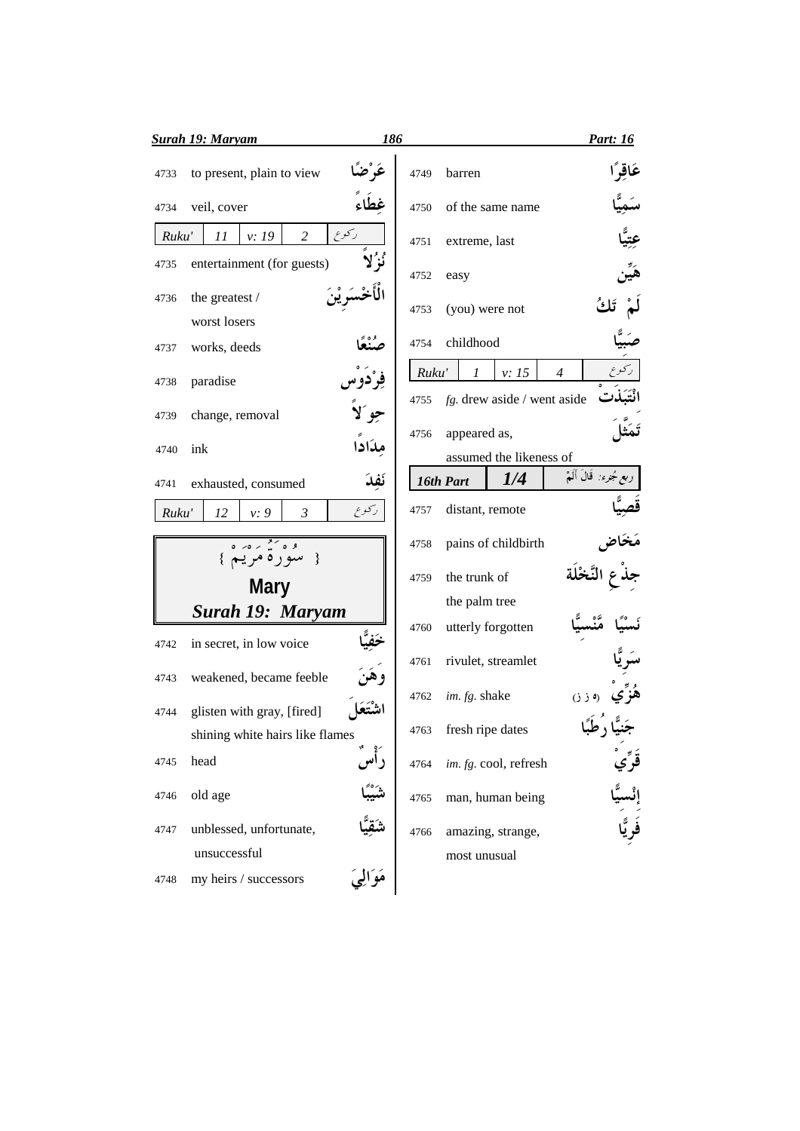|       | <b>Surah 19: Maryam</b>                    | 186       |       |                  |                         |                                | <b>Part: 16</b>           |
|-------|--------------------------------------------|-----------|-------|------------------|-------------------------|--------------------------------|---------------------------|
| 4733  | to present, plain to view                  |           | 4749  | barren           |                         |                                | عَاقِرًا                  |
| 4734  | veil, cover                                |           | 4750  |                  | of the same name        |                                |                           |
| Ruku' | v: 19<br>2<br>11                           | ركوع      | 4751  | extreme, last    |                         |                                |                           |
| 4735  | entertainment (for guests)                 |           | 4752  | easy             |                         |                                |                           |
| 4736  | the greatest /                             |           | 4753  | (you) were not   |                         |                                |                           |
|       | worst losers                               |           |       |                  |                         |                                |                           |
| 4737  | works, deeds                               |           | 4754  | childhood        |                         |                                |                           |
| 4738  | paradise                                   |           | Ruku' | $\mathcal{I}$    | v: 15                   | $\overline{4}$                 |                           |
| 4739  | change, removal                            |           | 4755  |                  |                         | $fg$ . drew aside / went aside |                           |
| 4740  | ink                                        | مِدَادا   | 4756  | appeared as,     |                         |                                |                           |
|       |                                            |           |       |                  | assumed the likeness of |                                | ربع جُنرء: ۖ قَالَ أَلَمْ |
| 4741  | exhausted, consumed                        | نَفِذَ    |       | 16th Part        | 1/4                     |                                |                           |
| Ruku' | 12<br>v: 9<br>3                            | دكوع      | 4757  | distant, remote  |                         |                                |                           |
|       | $0 < 0 < \frac{8}{4} < 0.8$<br>سوره مريم } |           | 4758  |                  | pains of childbirth     |                                |                           |
|       | <b>Mary</b>                                |           | 4759  | the trunk of     |                         |                                |                           |
|       | <b>Surah 19: Maryam</b>                    |           |       | the palm tree    |                         |                                |                           |
| 4742  | in secret, in low voice                    |           | 4760  |                  | utterly forgotten       |                                |                           |
| 4743  | weakened, became feeble                    | و هې      | 4761  |                  | rivulet, streamlet      |                                |                           |
|       |                                            |           | 4762  | im. fg. shake    |                         | (3, 3)                         |                           |
| 4744  | glisten with gray, [fired]                 |           | 4763  | fresh ripe dates |                         |                                |                           |
|       | shining white hairs like flames            |           |       |                  |                         |                                |                           |
| 4745  | head                                       | راس       | 4764  |                  | im. fg. cool, refresh   |                                |                           |
| 4746  | old age                                    |           | 4765  |                  | man, human being        |                                |                           |
| 4747  | unblessed, unfortunate,                    |           | 4766  |                  | amazing, strange,       |                                | رَ<br>فَوِ يَّا           |
|       | unsuccessful                               |           |       | most unusual     |                         |                                |                           |
| 4748  | my heirs / successors                      | مَوَالِيَ |       |                  |                         |                                |                           |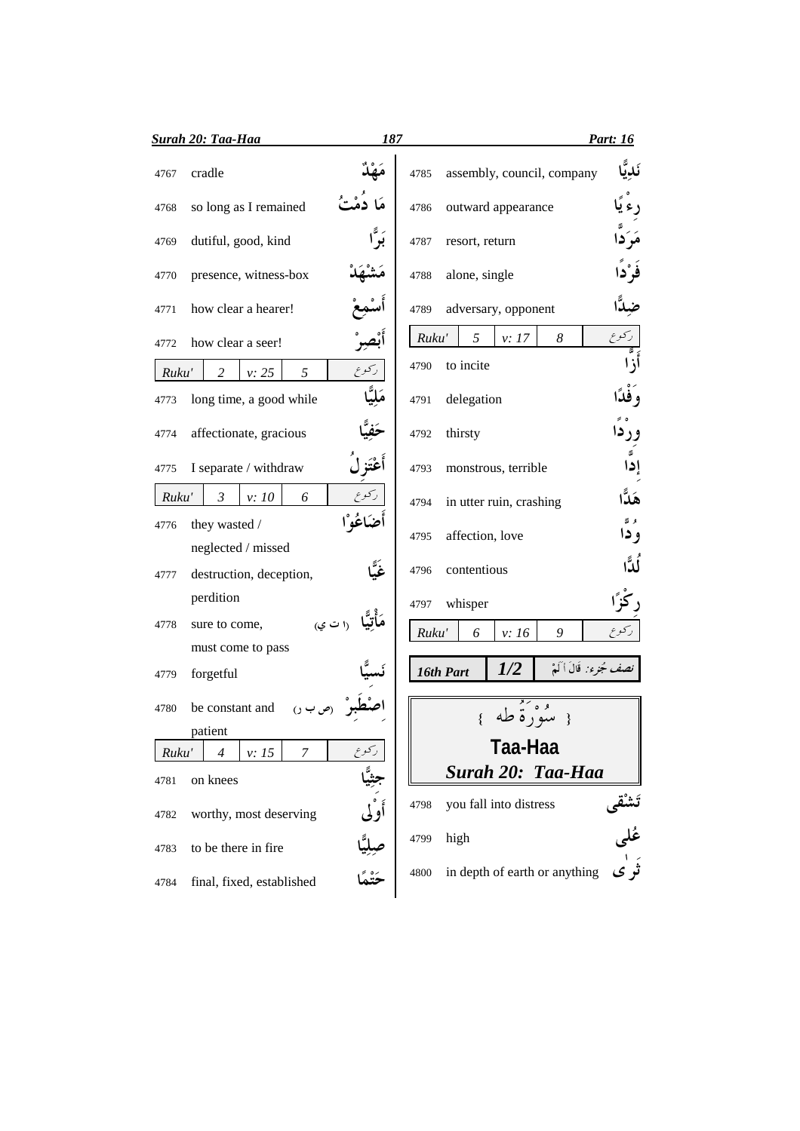|       | <b>Surah 20: Taa-Haa</b>     | 187         |       |                               |                         | Part: 16             |
|-------|------------------------------|-------------|-------|-------------------------------|-------------------------|----------------------|
| 4767  | cradle                       |             | 4785  | assembly, council, company    |                         | نَديَّ               |
| 4768  | so long as I remained        |             | 4786  | outward appearance            |                         |                      |
| 4769  | dutiful, good, kind          |             | 4787  | resort, return                |                         |                      |
| 4770  | presence, witness-box        |             | 4788  | alone, single                 |                         | فَرْدًا              |
| 4771  | how clear a hearer!          |             | 4789  | adversary, opponent           |                         |                      |
| 4772  | how clear a seer!            | بْص         | Ruku' | 5<br>v: 17                    | 8                       | ركوع                 |
| Ruku' | $\overline{c}$<br>v: 25<br>5 | ركوع        | 4790  | to incite                     |                         |                      |
| 4773  | long time, a good while      |             | 4791  | delegation                    |                         |                      |
| 4774  | affectionate, gracious       |             | 4792  | thirsty                       |                         | ور دا                |
| 4775  | I separate / withdraw        | أعْتَزْ ل   | 4793  | monstrous, terrible           |                         | ธี<br>إدا            |
| Ruku' | $\mathfrak{Z}$<br>v:10<br>6  | ركوع        | 4794  | in utter ruin, crashing       |                         | هَلَّا               |
| 4776  | they wasted /                | أضكاغُه ْ ا | 4795  | affection, love               |                         | و آھ<br>و دا         |
|       | neglected / missed           |             |       |                               |                         |                      |
| 4777  | destruction, deception,      |             | 4796  | contentious                   |                         | ڵڐؙٱ                 |
|       | perdition                    |             | 4797  | whisper                       |                         |                      |
| 4778  | ۱۱ ت ي<br>sure to come,      |             | Ruku' | 6<br>v: 16                    | 9                       | ركوع                 |
|       | must come to pass            |             |       |                               |                         |                      |
| 4779  | forgetful                    |             |       | 1/2<br>16th Part              | نصف جُزِء: قَالَ أَكَمْ |                      |
| 4780  | be constant and              |             |       |                               |                         |                      |
|       | patient                      |             |       |                               |                         |                      |
| Ruku' | v: 15<br>7<br>4              | ركوع        |       | Taa-Haa                       |                         |                      |
| 4781  | on knees                     |             |       | Surah 20: Taa-Haa             |                         |                      |
| 4782  | worthy, most deserving       | أَوْلَى     | 4798  | you fall into distress        |                         | نشقی<br>عُلی<br>تَرک |
| 4783  | to be there in fire          |             | 4799  | high                          |                         |                      |
| 4784  | final, fixed, established    |             | 4800  | in depth of earth or anything |                         |                      |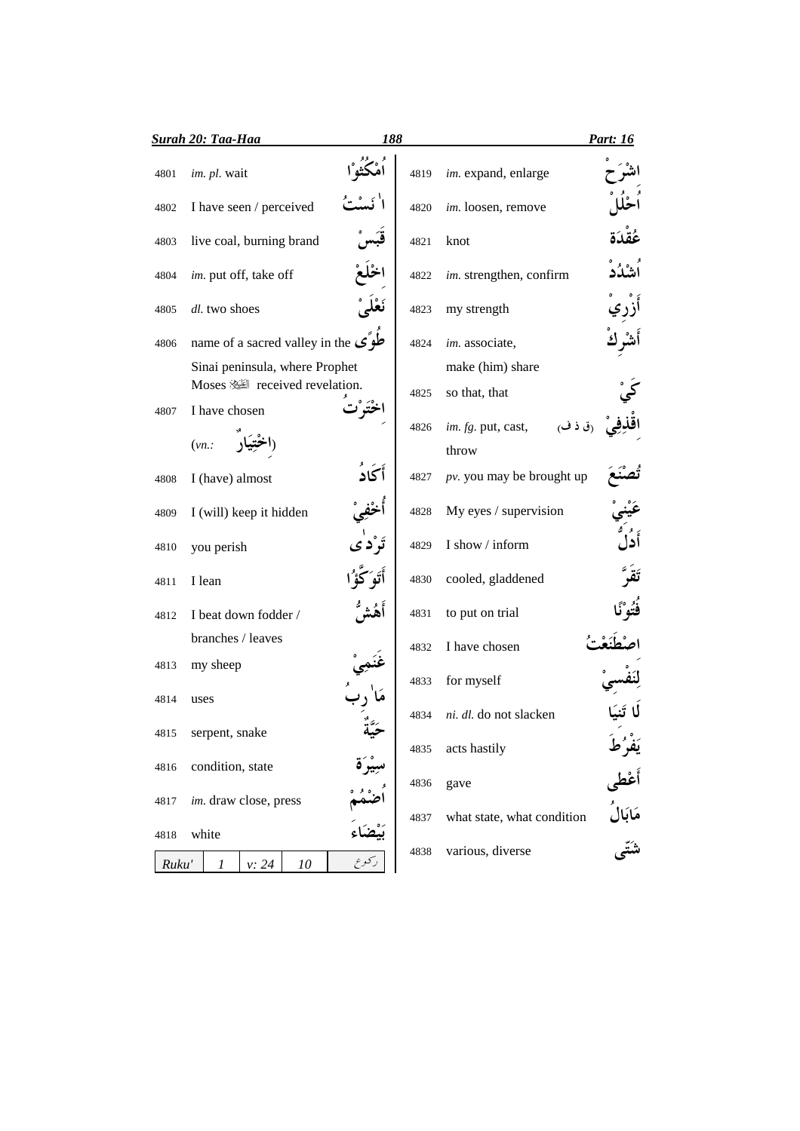|       | <b>Surah 20: Taa-Haa</b>                      | 188     |      |                               | Part: 16                     |
|-------|-----------------------------------------------|---------|------|-------------------------------|------------------------------|
| 4801  | im. pl. wait                                  |         | 4819 | im. expand, enlarge           |                              |
| 4802  | I have seen / perceived                       |         | 4820 | im. loosen, remove            |                              |
| 4803  | live coal, burning brand                      |         | 4821 | knot                          |                              |
| 4804  | im. put off, take off                         |         | 4822 | im. strengthen, confirm       |                              |
| 4805  | dl. two shoes                                 |         | 4823 | my strength                   |                              |
| 4806  | name of a sacred valley in the $\mathcal{L}$  |         | 4824 | im. associate,                |                              |
|       | Sinai peninsula, where Prophet                |         |      | make (him) share              |                              |
| 4807  | Moses ﷺ received revelation.<br>I have chosen |         | 4825 | so that, that                 |                              |
|       |                                               |         | 4826 | (ق ذ ف)<br>im. fg. put, cast, |                              |
|       | (vn.                                          |         |      | throw                         |                              |
|       |                                               |         |      |                               |                              |
| 4808  | I (have) almost                               | أكاد    | 4827 | $pv.$ you may be brought up   |                              |
| 4809  | I (will) keep it hidden                       |         | 4828 | My eyes / supervision         |                              |
| 4810  | you perish                                    |         | 4829 | I show / inform               |                              |
| 4811  | I lean                                        |         | 4830 | cooled, gladdened             |                              |
| 4812  | I beat down fodder /                          |         | 4831 | to put on trial               |                              |
|       | branches / leaves                             |         | 4832 | I have chosen                 |                              |
| 4813  | my sheep                                      |         | 4833 | for myself                    |                              |
| 4814  | uses                                          |         |      |                               |                              |
| 4815  | serpent, snake                                |         | 4834 | ni. dl. do not slacken        |                              |
|       |                                               |         | 4835 | acts hastily                  |                              |
| 4816  | condition, state                              | سِيْرَة |      |                               |                              |
| 4817  | im. draw close, press                         |         | 4836 | gave                          | یَفَرُطُ<br>أَعْطٰی<br>شَتّی |
|       |                                               |         | 4837 | what state, what condition    |                              |
| 4818  | white                                         |         | 4838 | various, diverse              |                              |
| Ruku' | 1<br>v: 24<br>10                              | کو ع    |      |                               |                              |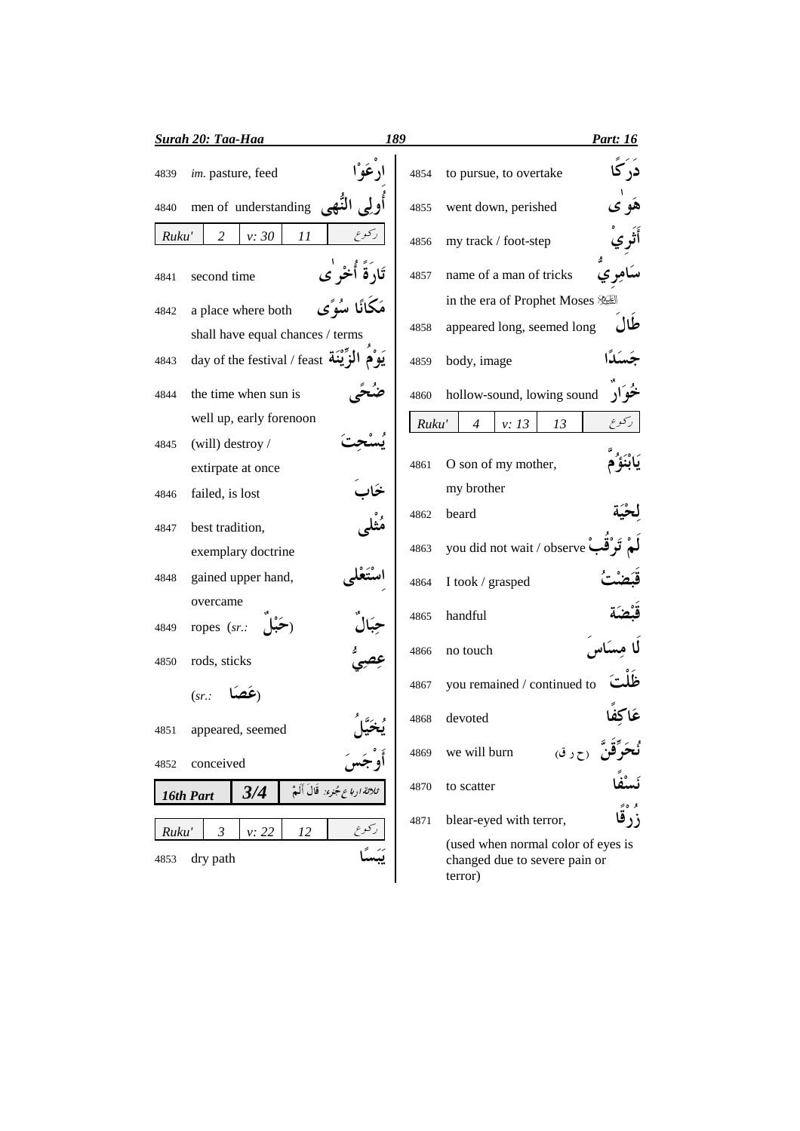| <b>Surah 20: Taa-Haa</b>                                                              | 189                                     | Part: 16                                                                       |
|---------------------------------------------------------------------------------------|-----------------------------------------|--------------------------------------------------------------------------------|
| im. pasture, feed<br>4839                                                             | 4854                                    | در کا<br>to pursue, to overtake                                                |
| men of understanding<br>4840                                                          | 4855                                    | went down, perished                                                            |
| v: 30<br>11<br>Ruku'<br>2                                                             | ركوع<br>4856                            | my track / foot-step                                                           |
| second time<br>4841                                                                   | تَارَٰقَ أَخْر ٰی<br>4857               | name of a man of tricks                                                        |
| a place where both<br>4842                                                            | مَكَانًا سُوًى<br>4858                  | in the era of Prophet Moses<br>طال<br>appeared long, seemed long               |
| shall have equal chances / terms<br>day of the festival / feast أَلَمْزَيْنَة<br>4843 | 4859                                    | body, image                                                                    |
| the time when sun is<br>4844                                                          | 4860                                    | خو ک<br>hollow-sound, lowing sound                                             |
| well up, early forenoon                                                               |                                         | Ruku'<br>$\overline{4}$<br>v: 13<br>13                                         |
| (will) destroy /<br>4845<br>extirpate at once                                         | 4861                                    | O son of my mother,                                                            |
| failed, is lost<br>4846                                                               |                                         | my brother                                                                     |
| best tradition,<br>4847                                                               | 4862                                    | beard                                                                          |
| exemplary doctrine                                                                    | 4863                                    | you did not wait / observe                                                     |
| gained upper hand,<br>4848                                                            | 4864                                    | I took / grasped                                                               |
| overcame<br>ropes (sr.:<br>4849                                                       | 4865                                    | handful                                                                        |
| rods, sticks<br>4850                                                                  | 4866                                    | no touch                                                                       |
| (sr.                                                                                  | 4867                                    | you remained / continued to                                                    |
| 4851<br>appeared, seemed                                                              | 4868                                    | devoted                                                                        |
| conceived<br>4852                                                                     | 4869                                    | <b>حَرَّقنَ</b> رح ر ق)<br>we will burn                                        |
| 3/4<br>16th Part                                                                      | 4870<br>ثلاثة ارباع جُنوء: قَالَ أَلَمْ | to scatter                                                                     |
| $\mathfrak{Z}$<br>v: 22<br>12<br>Ruku'                                                | 4871                                    | و ه≈ِ<br>زرقا<br>blear-eyed with terror,                                       |
| dry path<br>4853                                                                      |                                         | (used when normal color of eyes is<br>changed due to severe pain or<br>terror) |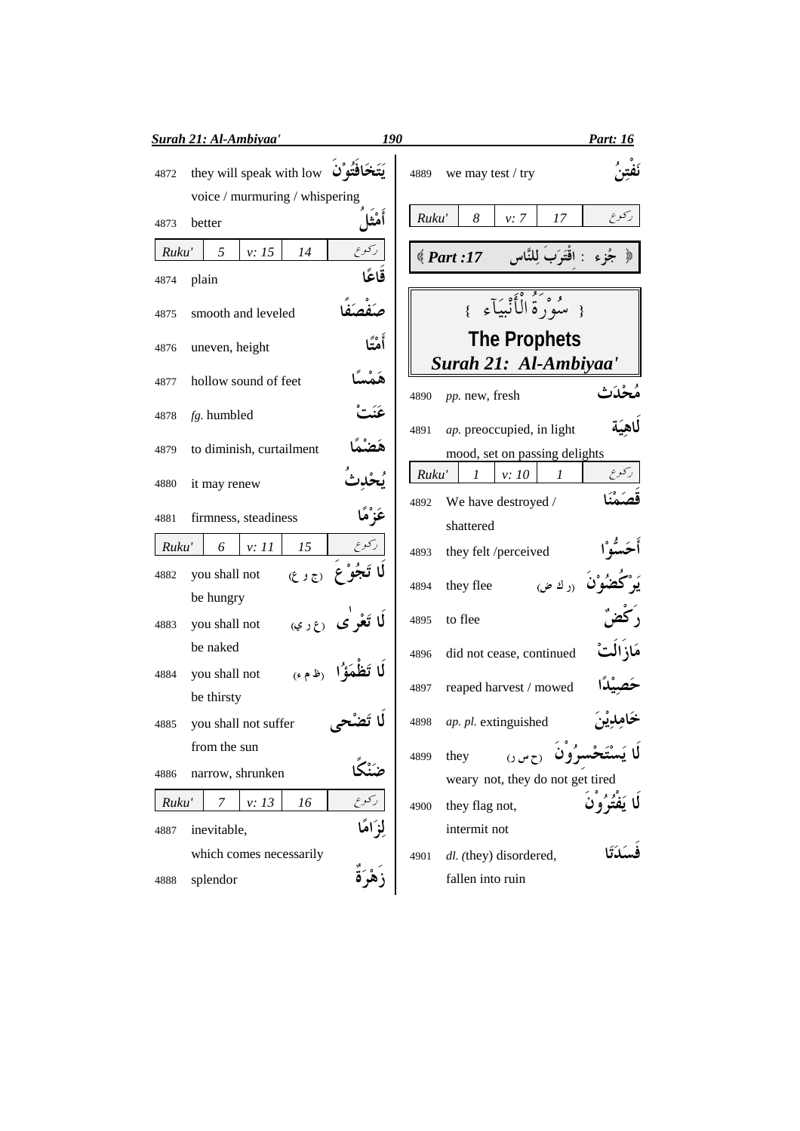|       | <b>Surah 21: Al-Ambiyaa'</b>                  | <i>190</i> | <u>Part: 16</u>                                            |
|-------|-----------------------------------------------|------------|------------------------------------------------------------|
| 4872  | they will speak with low                      |            | we may test / try<br>4889                                  |
|       | voice / murmuring / whispering                |            |                                                            |
| 4873  | better                                        | أمثنا      | ر کو ع<br>Ruku'<br>8<br>17<br>v: 7                         |
| Ruku' | ركوع<br>5<br>v: 15<br>14                      |            | جُزِءِ : اقْتَرَبَ لِلنَّاسِ      17: Part ﴾               |
| 4874  | plain                                         | قاعًا      |                                                            |
| 4875  | smooth and leveled                            |            | { مِيْهُوَنَّهُ الْأَنْبِيَآءِ }                           |
| 4876  | uneven, height                                | أَمْتَا    | <b>The Prophets</b>                                        |
| 4877  | هَمْسَا<br>hollow sound of feet               |            | Surah 21: Al-Ambiyaa'                                      |
| 4878  | fg. humbled                                   | عَنَد      | مُحْدَث<br>pp. new, fresh<br>4890                          |
|       |                                               |            | للهيّة<br>ap. preoccupied, in light<br>4891                |
| 4879  | to diminish, curtailment                      |            | mood, set on passing delights                              |
| 4880  | it may renew                                  |            | ركوع<br>Ruku'<br>$\boldsymbol{l}$<br>v:10<br>$\mathcal{I}$ |
| 4881  | عَزْمًا<br>firmness, steadiness               |            | We have destroyed /<br>4892                                |
|       |                                               |            | shattered                                                  |
| Ruku' | رکوع<br>15<br>6<br>v: 11                      |            | they felt /perceived<br>4893                               |
| 4882  | (56)<br>you shall not<br>be hungry            |            | <b>ُضُوُن</b> <sub>(ر</sub> ك ض<br>they flee<br>4894       |
| 4883  | <b>لَا تَعْرِ ٰى</b> (ع ر ي)<br>you shall not |            | to flee<br>4895                                            |
|       | be naked                                      |            | مَاز الت<br>did not cease, continued<br>4896               |
| 4884  | لَا تَظْمَؤُ الْمَوْمَى<br>you shall not      |            |                                                            |
|       | be thirsty                                    |            | reaped harvest / mowed<br>4897                             |
| 4885  | you shall not suffer                          |            | خامدين<br>ap. pl. extinguished<br>4898                     |
|       | from the sun                                  |            | O(w)<br>they<br>4899                                       |
| 4886  | ضَنْك<br>narrow, shrunken                     |            | weary not, they do not get tired                           |
| Ruku' | ركوع<br>v: 13<br>16<br>7                      |            | لَا يَفْتُرُو <sup>ْنَ</sup><br>they flag not,<br>4900     |
| 4887  | لزامًا<br>inevitable,                         |            | intermit not                                               |
|       | which comes necessarily                       |            | dl. (they) disordered,<br>4901                             |
| 4888  | زَهْرَةٌ<br>splendor                          |            | fallen into ruin                                           |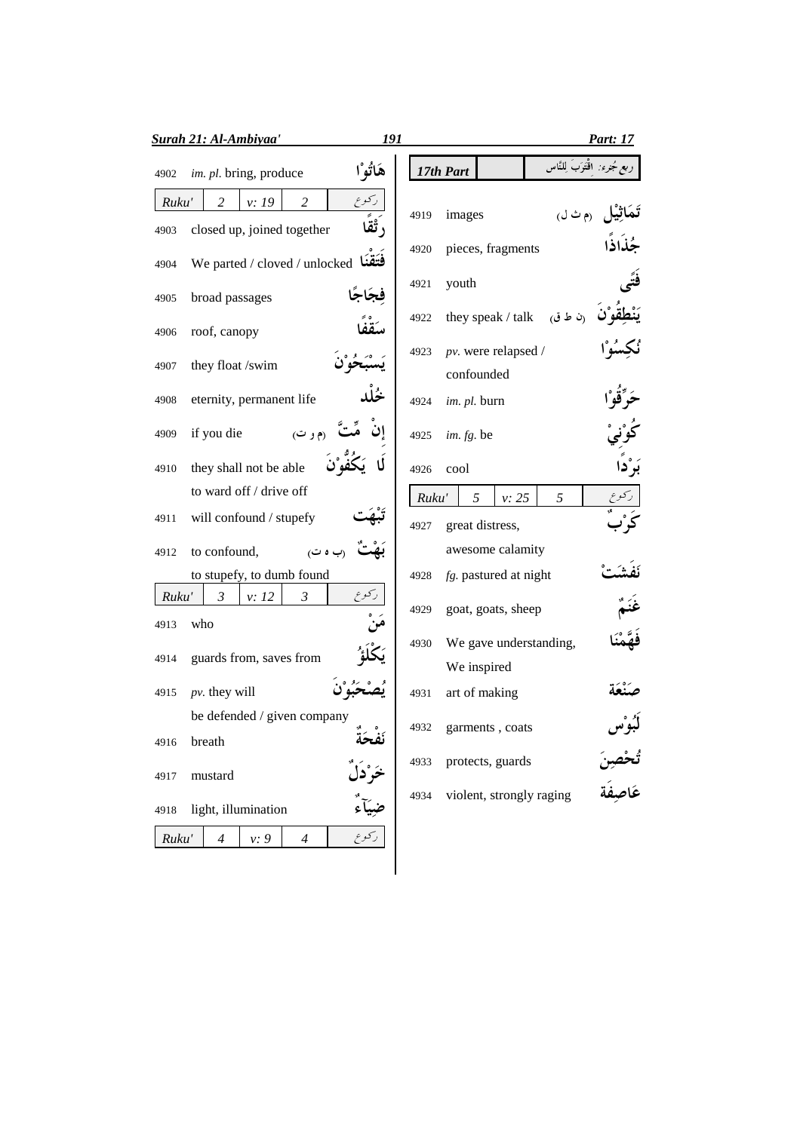|               | <b>Surah 21: Al-Ambiyaa'</b>                                | 191                                        | Part: 17                                    |
|---------------|-------------------------------------------------------------|--------------------------------------------|---------------------------------------------|
| 4902          | im. pl. bring, produce                                      | هَاتُوْا                                   | ربع جُنرِء: اقْتَوَبَ لِلنَّاس<br>17th Part |
| Ruku'         | ركوع<br>2<br>v: 19<br>2                                     | 4919                                       | (م ث ل)<br>images                           |
| 4903<br>4904  | closed up, joined together<br>We parted / cloved / unlocked | $\mathring{\mathbf{B}}$ ،<br>4920<br>فتقنا | pieces, fragments                           |
| 4905          | فجاجًا<br>broad passages                                    | 4921                                       | youth                                       |
| 4906          | roof, canopy                                                | 4922                                       | (ن ط ق)<br>they speak / talk                |
| 4907          | they float /swim                                            | 4923                                       | pv. were relapsed /<br>confounded           |
| 4908          | eternity, permanent life                                    | 4924                                       | im. pl. burn                                |
| 4909          | if you die<br>(م و ت)                                       | 4925                                       | im. fg. be                                  |
| 4910          | they shall not be able<br>to ward off / drive off           | 4926                                       | cool                                        |
| 4911          | will confound / stupefy                                     | Ruku'<br>4927                              | 5<br>5<br>v: 25<br>great distress,          |
| 4912          | to confound,<br>(ب ہ ت)                                     |                                            | awesome calamity                            |
|               | to stupefy, to dumb found                                   | 4928                                       | fg. pastured at night                       |
| Ruku'<br>4913 | ر کو ع<br>$\mathfrak{Z}$<br>$\mathfrak{Z}$<br>v: 12<br>who  | 4929                                       | goat, goats, sheep                          |
| 4914          | guards from, saves from                                     | 4930                                       | We gave understanding,<br>We inspired       |
| 4915          | $pv.$ they will                                             | 4931                                       | art of making                               |
| 4916          | be defended / given company<br>breath                       | 4932<br>نفحة                               | garments, coats                             |
| 4917          | mustard                                                     | 4933<br>خَرْدَا                            | ثُحْصِنَ<br>عَاصِفَة<br>protects, guards    |
| 4918          | light, illumination                                         | 4934                                       | violent, strongly raging                    |
| Ruku'         | ركوع<br>v: 9<br>4<br>4                                      |                                            |                                             |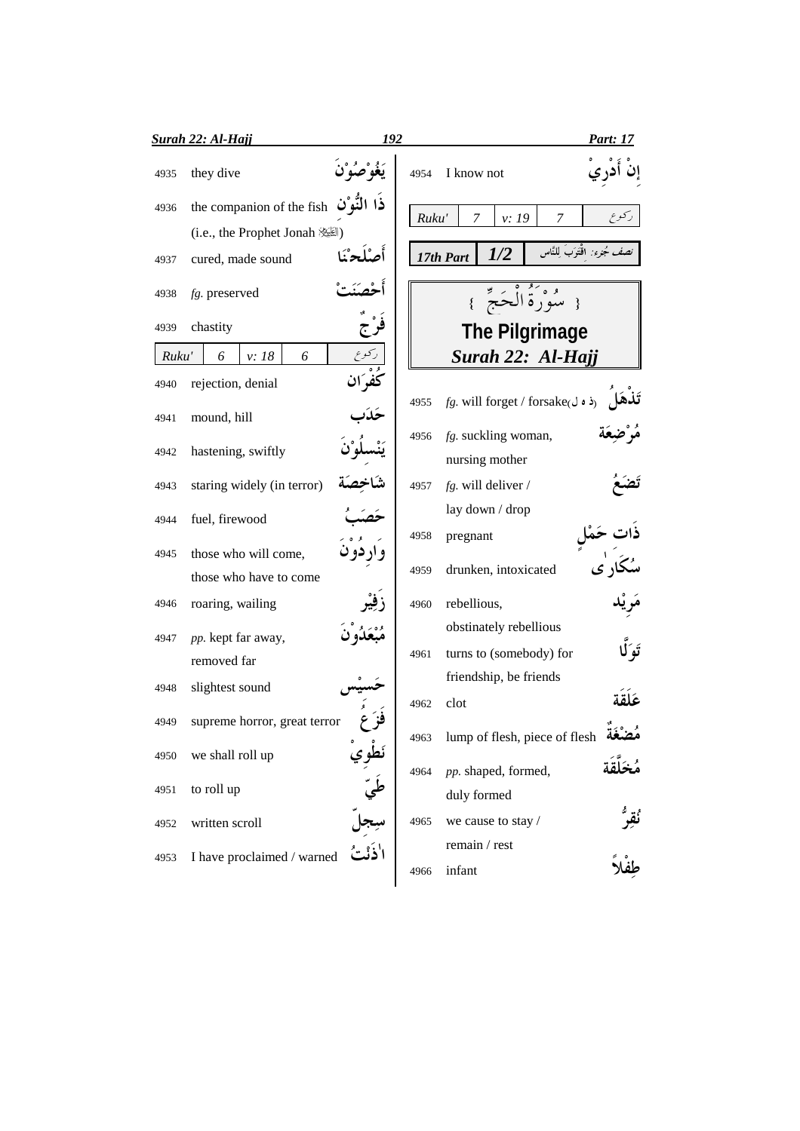|       | Surah 22: Al-Hajj            | 192      |       |                                           | <b>Part: 17</b>               |
|-------|------------------------------|----------|-------|-------------------------------------------|-------------------------------|
| 4935  | they dive                    |          | 4954  | I know not                                |                               |
| 4936  | the companion of the fish    |          | Ruku' | $\overline{7}$<br>v: 19<br>$\overline{7}$ |                               |
|       | (i.e., the Prophet Jonah     |          |       |                                           |                               |
| 4937  | cured, made sound            | أمراج    |       | 1/2<br>17th Part                          | نصف جُنرء: اقْتَوَبَ لِلنَّاس |
| 4938  | fg. preserved                |          |       | { سُوْرَةُ الْحَجِّ }                     |                               |
| 4939  | chastity                     |          |       | The Pilgrimage                            |                               |
| Ruku' | v: 18<br>6<br>6              |          |       | Surah 22: Al-Hajj                         |                               |
| 4940  | rejection, denial            | كفران    |       |                                           |                               |
| 4941  | mound, hill                  |          | 4955  | fg. will forget / forsake(ذه ل            |                               |
| 4942  | hastening, swiftly           |          | 4956  | fg. suckling woman,<br>nursing mother     |                               |
| 4943  | staring widely (in terror)   |          | 4957  | $fg.$ will deliver /                      |                               |
| 4944  | fuel, firewood               |          |       | lay down / drop                           |                               |
| 4945  | those who will come,         |          | 4958  | pregnant                                  |                               |
|       | those who have to come       |          | 4959  | drunken, intoxicated                      |                               |
| 4946  | roaring, wailing             |          | 4960  | rebellious,                               |                               |
| 4947  | pp. kept far away,           |          |       | obstinately rebellious                    |                               |
|       | removed far                  |          | 4961  | turns to (somebody) for                   |                               |
|       |                              |          |       | friendship, be friends                    |                               |
| 4948  | slightest sound              |          | 4962  | clot                                      |                               |
| 4949  | supreme horror, great terror |          | 4963  | lump of flesh, piece of flesh             |                               |
| 4950  | we shall roll up             |          | 4964  | pp. shaped, formed,                       |                               |
| 4951  | to roll up                   | ر<br>طيّ |       | duly formed                               |                               |
| 4952  | written scroll               |          | 4965  | we cause to stay /                        | ئقر                           |
| 4953  | I have proclaimed / warned   |          | 4966  | remain / rest<br>infant                   |                               |
|       |                              |          |       |                                           |                               |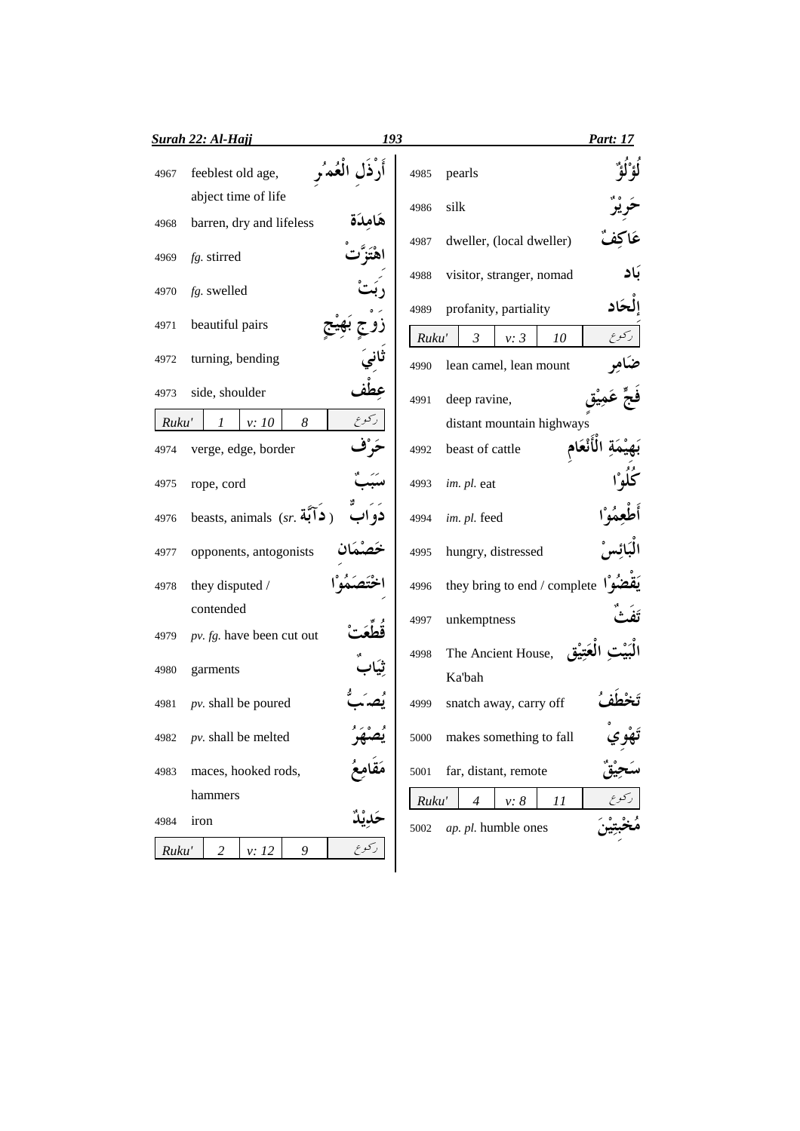|       | Surah 22: Al-Hajj            | 193          |       |                                     | Part: 17 |
|-------|------------------------------|--------------|-------|-------------------------------------|----------|
| 4967  | feeblest old age,            | أرذل العُمْ, | 4985  | pearls                              |          |
|       | abject time of life          |              | 4986  | silk                                |          |
| 4968  | barren, dry and lifeless     | هامدة        |       |                                     |          |
| 4969  | fg. stirred                  |              | 4987  | dweller, (local dweller)            |          |
| 4970  | fg. swelled                  |              | 4988  | visitor, stranger, nomad            | بَاد     |
|       |                              |              | 4989  | profanity, partiality               | الحاد    |
| 4971  | beautiful pairs              |              | Ruku' | $\mathfrak{Z}$<br>v: 3<br>10        | ركوع     |
| 4972  | turning, bending             |              | 4990  | lean camel, lean mount              |          |
| 4973  | side, shoulder               |              | 4991  | deep ravine,                        |          |
| Ruku' | 8<br>v: 10<br>1              | ركوع         |       | distant mountain highways           |          |
| 4974  | verge, edge, border          |              | 4992  | beast of cattle                     |          |
| 4975  | rope, cord                   |              | 4993  | im. pl. eat                         |          |
| 4976  | beasts, animals $(sr, 4)$ )  |              | 4994  | im. pl. feed                        |          |
| 4977  | opponents, antogonists       |              | 4995  | hungry, distressed                  |          |
| 4978  | they disputed /              |              | 4996  | they bring to end / complete $\int$ |          |
|       | contended                    |              | 4997  | unkemptness                         |          |
| 4979  | pv. fg. have been cut out    |              |       |                                     |          |
| 4980  | garments                     |              | 4998  | The Ancient House,<br>Ka'bah        |          |
| 4981  | $pv.$ shall be poured        |              | 4999  | snatch away, carry off              |          |
| 4982  | pv. shall be melted          | بصبحه        | 5000  | makes something to fall             | پوي      |
| 4983  | maces, hooked rods,          |              | 5001  | far, distant, remote                |          |
|       | hammers                      |              | Ruku' | $\overline{4}$<br>v: 8<br>11        |          |
| 4984  | iron                         |              | 5002  | ap. pl. humble ones                 |          |
| Ruku' | $\overline{c}$<br>v: 12<br>9 | ركوع         |       |                                     |          |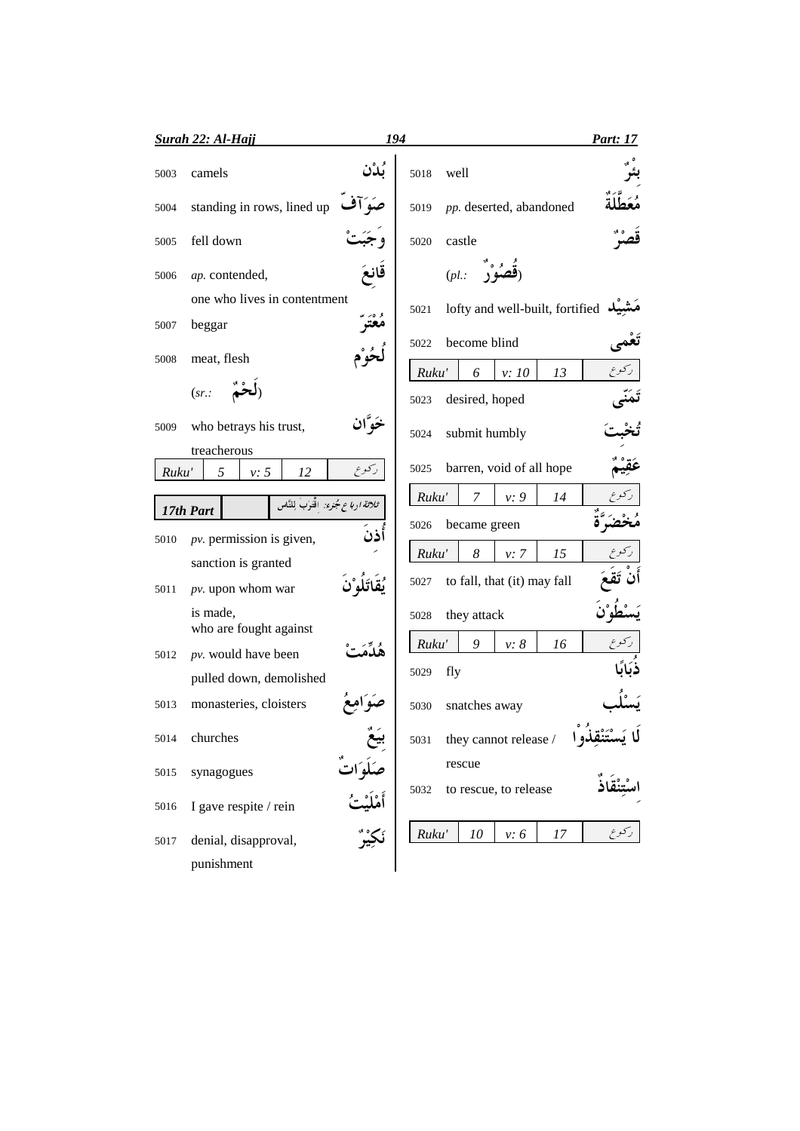|       | <b>Surah 22: Al-Hajj</b>               |        | 194                                 | <b>Part: 17</b> |
|-------|----------------------------------------|--------|-------------------------------------|-----------------|
| 5003  | camels                                 |        | well<br>5018                        |                 |
| 5004  | standing in rows, lined up             |        | pp. deserted, abandoned<br>5019     |                 |
| 5005  | fell down                              |        | castle<br>5020                      |                 |
| 5006  | ap. contended,                         |        | $(pl.$ :                            |                 |
|       | one who lives in contentment           |        | lofty and well-built, fortified     |                 |
| 5007  | beggar                                 |        | 5021                                |                 |
| 5008  | meat, flesh                            |        | become blind<br>5022                | ركوع            |
|       | (sr.                                   |        | Ruku'<br>6<br>v:10<br>13            |                 |
|       |                                        |        | desired, hoped<br>5023              |                 |
| 5009  | who betrays his trust,                 | خَه ان | submit humbly<br>5024               |                 |
|       | treacherous                            |        | barren, void of all hope<br>5025    |                 |
| Ruku' | 5<br>v: 5<br>12                        | ركوع   |                                     |                 |
|       | ثلاثة ارباع مُجزء: اقْتَوَبَ لِلنَّاسِ |        | Ruku'<br>7<br>v: 9<br>14            |                 |
|       | 17th Part                              |        | became green<br>5026                |                 |
| 5010  | $pv.$ permission is given,             | أذن    | 8<br>Ruku'<br>15<br>v: 7            |                 |
|       | sanction is granted                    |        |                                     |                 |
| 5011  | pv. upon whom war                      |        | to fall, that (it) may fall<br>5027 |                 |
|       | is made,                               |        | they attack<br>5028                 |                 |
|       | who are fought against                 |        | Ruku'<br>9<br>$v: \delta$<br>16     |                 |
| 5012  | pv. would have been                    |        |                                     |                 |
|       | pulled down, demolished                |        | fly<br>5029                         |                 |
| 5013  | monasteries, cloisters                 |        | snatches away<br>5030               |                 |
| 5014  | churches                               |        | 5031<br>they cannot release /       |                 |
| 5015  | synagogues                             |        | rescue                              |                 |
| 5016  | I gave respite / rein                  |        | to rescue, to release<br>5032       |                 |
| 5017  | denial, disapproval,                   |        | Ruku'<br>10<br>17<br>v: 6           |                 |
|       | punishment                             |        |                                     |                 |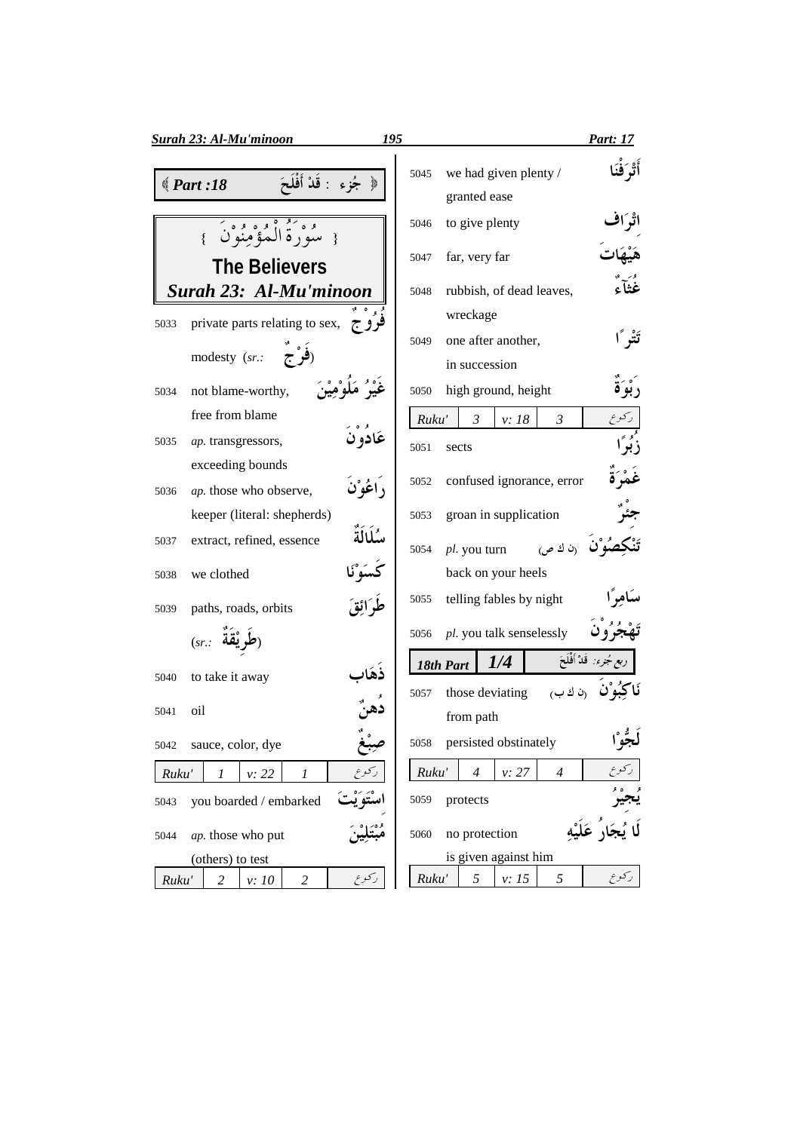| <b>Surah 23: Al-Mu'minoon</b>                         | 195<br>Part: 17                                              |
|-------------------------------------------------------|--------------------------------------------------------------|
| ﴿ جُزِءِ : قَلْ أَفْلَحَ<br>$\text{\textcircled{18}}$ | أَتْرَفَنَا<br>we had given plenty /<br>5045<br>granted ease |
| { سُوْرَةُ الْعُوْمِنُوْنَ }                          | to give plenty<br>5046                                       |
| <b>The Believers</b>                                  | far, very far<br>5047                                        |
| Surah 23: Al-Mu'minoon                                | .<br>غُثاً ءُ<br>rubbish, of dead leaves,<br>5048            |
| private parts relating to sex, $\tau$<br>5033         | wreckage                                                     |
| (فُوْجَ<br>modesty (sr.:                              | تَتْر أ<br>one after another,<br>5049                        |
|                                                       | in succession                                                |
| not blame-worthy,<br>5034                             | high ground, height<br>5050                                  |
| free from blame                                       | ركوع<br>$\mathfrak{Z}$<br>Ruku'<br>v: 18<br>$\mathfrak{Z}$   |
| عَادو ن<br>ap. transgressors,<br>5035                 | زُبُوَّ<br>5051<br>sects                                     |
| exceeding bounds                                      | غمْرَ                                                        |
| د اعُوْنَ<br>ap. those who observe,<br>5036           | confused ignorance, error<br>5052                            |
| keeper (literal: shepherds)                           | groan in supplication<br>5053                                |
| سُلَالَةٌ<br>extract, refined, essence<br>5037        | مو <b>ْن</b> (ن ك ص)<br>pl. you turn<br>5054                 |
| كَسَوْنَا<br>we clothed<br>5038                       | back on your heels                                           |
| طُوَ ائقَ<br>paths, roads, orbits<br>5039             | سکامر ٗا<br>telling fables by night<br>5055                  |
| $(sr.:$ لَم يْقة                                      | pl. you talk senselessly<br>5056                             |
| to take it away<br>5040                               | ربع جُنرء: ۖ قَدْ أَفْلَحَ<br>1/4<br>18th Part               |
| oil<br>5041                                           | رن ك ب<br>those deviating<br>5057                            |
|                                                       | from path                                                    |
| sauce, color, dye<br>5042                             | persisted obstinately<br>5058<br>لجو ا                       |
| ركوع<br>Ruku'<br>$\mathcal{I}$<br>v: 22<br>1          | Ruku'<br>$\overline{4}$<br>$\overline{4}$<br>v: 27           |
| you boarded / embarked<br>5043                        | protects<br>5059                                             |
| ap. those who put<br>5044                             | no protection<br>5060                                        |
| (others) to test                                      | is given against him                                         |
| ركوع<br>Ruku'<br>$\overline{c}$<br>2<br>v: 10         | 5<br>5<br>Ruku'<br>v: 15                                     |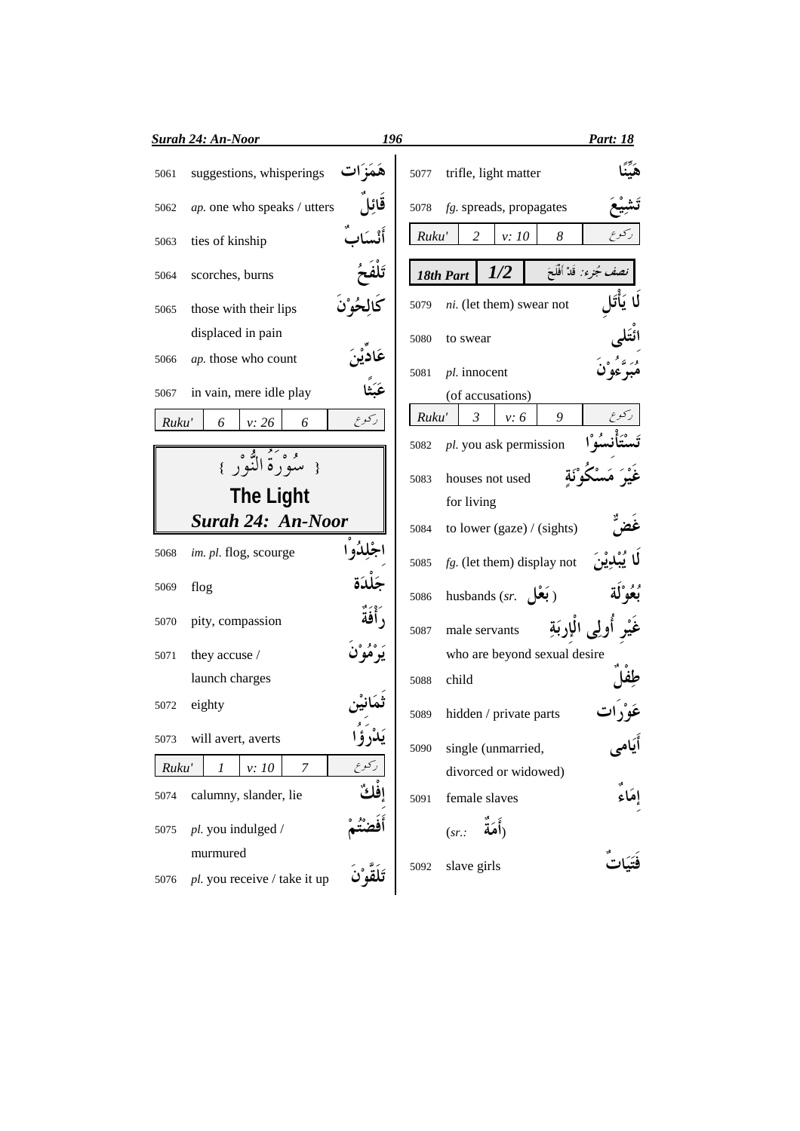| suggestions, whisperings<br>trifle, light matter<br>5077<br>5061<br>قائا<br>ap. one who speaks / utters<br>$fg.$ spreads, propagates<br>5078<br>5062<br>8<br>Ruku'<br>2<br>v: 10<br>ties of kinship<br>5063<br>نصف جُنرء: قَدْ أَفْلَحَ<br>1/2<br>18th Part<br>scorches, burns<br>5064<br>ni. (let them) swear not<br>5079<br>those with their lips<br>5065<br>displaced in pain<br>5080<br>to swear<br>ap. those who count<br>5066<br>pl. innocent<br>5081<br>عَبَثًا<br>in vain, mere idle play<br>5067<br>(of accusations)<br>9<br>$\mathfrak{Z}$<br>v: 6<br>Ruku'<br>ركوع<br>Ruku'<br>v: 26<br>6<br>6<br>pl. you ask permission<br>5082<br>و وَكُولُهُ وَ وَإِنَّا لَهُ وَ إِنَّا إِلَيْهِ مِنْ إِلَيْهِ وَ إِنَّا إِلَيْهِ وَ إِلَيْهِ وَ إِنْ<br>houses not used<br>5083<br><b>The Light</b><br>for living<br><b>Surah 24: An-Noor</b><br>to lower (gaze) / (sights)<br>5084<br>im. pl. flog, scourge<br>5068<br>$fg.$ (let them) display not<br>5085<br>flog<br>5069<br>بُعُوْلَة<br>husbands $(sr.$ (بَعْل<br>5086<br>, أَفَةٌ<br>pity, compassion<br>5070<br>أولى الإربَةِ<br>male servants<br>5087<br>who are beyond sexual desire<br>they accuse /<br>5071<br>launch charges<br>child<br>5088<br>eighty<br>5072<br>hidden / private parts<br>5089<br>5073<br>will avert, averts<br>يدرؤا<br>single (unmarried,<br>5090<br>ركوع<br>Ruku'<br>1<br>v:10<br>7<br>divorced or widowed)<br>calumny, slander, lie<br>5074<br>female slaves<br>5091<br>(أَمَةُ<br>pl. you indulged /<br>5075<br>(sr.<br>murmured<br>slave girls<br>5092<br>pl. you receive / take it up<br>5076 | <b>Surah 24: An-Noor</b> | 196 |  | <b>Part: 18</b> |
|------------------------------------------------------------------------------------------------------------------------------------------------------------------------------------------------------------------------------------------------------------------------------------------------------------------------------------------------------------------------------------------------------------------------------------------------------------------------------------------------------------------------------------------------------------------------------------------------------------------------------------------------------------------------------------------------------------------------------------------------------------------------------------------------------------------------------------------------------------------------------------------------------------------------------------------------------------------------------------------------------------------------------------------------------------------------------------------------------------------------------------------------------------------------------------------------------------------------------------------------------------------------------------------------------------------------------------------------------------------------------------------------------------------------------------------------------------------------------------------------------------------------------------------------------------------------------------|--------------------------|-----|--|-----------------|
|                                                                                                                                                                                                                                                                                                                                                                                                                                                                                                                                                                                                                                                                                                                                                                                                                                                                                                                                                                                                                                                                                                                                                                                                                                                                                                                                                                                                                                                                                                                                                                                    |                          |     |  |                 |
|                                                                                                                                                                                                                                                                                                                                                                                                                                                                                                                                                                                                                                                                                                                                                                                                                                                                                                                                                                                                                                                                                                                                                                                                                                                                                                                                                                                                                                                                                                                                                                                    |                          |     |  |                 |
|                                                                                                                                                                                                                                                                                                                                                                                                                                                                                                                                                                                                                                                                                                                                                                                                                                                                                                                                                                                                                                                                                                                                                                                                                                                                                                                                                                                                                                                                                                                                                                                    |                          |     |  |                 |
|                                                                                                                                                                                                                                                                                                                                                                                                                                                                                                                                                                                                                                                                                                                                                                                                                                                                                                                                                                                                                                                                                                                                                                                                                                                                                                                                                                                                                                                                                                                                                                                    |                          |     |  |                 |
|                                                                                                                                                                                                                                                                                                                                                                                                                                                                                                                                                                                                                                                                                                                                                                                                                                                                                                                                                                                                                                                                                                                                                                                                                                                                                                                                                                                                                                                                                                                                                                                    |                          |     |  |                 |
|                                                                                                                                                                                                                                                                                                                                                                                                                                                                                                                                                                                                                                                                                                                                                                                                                                                                                                                                                                                                                                                                                                                                                                                                                                                                                                                                                                                                                                                                                                                                                                                    |                          |     |  |                 |
|                                                                                                                                                                                                                                                                                                                                                                                                                                                                                                                                                                                                                                                                                                                                                                                                                                                                                                                                                                                                                                                                                                                                                                                                                                                                                                                                                                                                                                                                                                                                                                                    |                          |     |  |                 |
|                                                                                                                                                                                                                                                                                                                                                                                                                                                                                                                                                                                                                                                                                                                                                                                                                                                                                                                                                                                                                                                                                                                                                                                                                                                                                                                                                                                                                                                                                                                                                                                    |                          |     |  |                 |
|                                                                                                                                                                                                                                                                                                                                                                                                                                                                                                                                                                                                                                                                                                                                                                                                                                                                                                                                                                                                                                                                                                                                                                                                                                                                                                                                                                                                                                                                                                                                                                                    |                          |     |  |                 |
|                                                                                                                                                                                                                                                                                                                                                                                                                                                                                                                                                                                                                                                                                                                                                                                                                                                                                                                                                                                                                                                                                                                                                                                                                                                                                                                                                                                                                                                                                                                                                                                    |                          |     |  |                 |
|                                                                                                                                                                                                                                                                                                                                                                                                                                                                                                                                                                                                                                                                                                                                                                                                                                                                                                                                                                                                                                                                                                                                                                                                                                                                                                                                                                                                                                                                                                                                                                                    |                          |     |  |                 |
|                                                                                                                                                                                                                                                                                                                                                                                                                                                                                                                                                                                                                                                                                                                                                                                                                                                                                                                                                                                                                                                                                                                                                                                                                                                                                                                                                                                                                                                                                                                                                                                    |                          |     |  |                 |
|                                                                                                                                                                                                                                                                                                                                                                                                                                                                                                                                                                                                                                                                                                                                                                                                                                                                                                                                                                                                                                                                                                                                                                                                                                                                                                                                                                                                                                                                                                                                                                                    |                          |     |  |                 |
|                                                                                                                                                                                                                                                                                                                                                                                                                                                                                                                                                                                                                                                                                                                                                                                                                                                                                                                                                                                                                                                                                                                                                                                                                                                                                                                                                                                                                                                                                                                                                                                    |                          |     |  |                 |
|                                                                                                                                                                                                                                                                                                                                                                                                                                                                                                                                                                                                                                                                                                                                                                                                                                                                                                                                                                                                                                                                                                                                                                                                                                                                                                                                                                                                                                                                                                                                                                                    |                          |     |  |                 |
|                                                                                                                                                                                                                                                                                                                                                                                                                                                                                                                                                                                                                                                                                                                                                                                                                                                                                                                                                                                                                                                                                                                                                                                                                                                                                                                                                                                                                                                                                                                                                                                    |                          |     |  |                 |
|                                                                                                                                                                                                                                                                                                                                                                                                                                                                                                                                                                                                                                                                                                                                                                                                                                                                                                                                                                                                                                                                                                                                                                                                                                                                                                                                                                                                                                                                                                                                                                                    |                          |     |  |                 |
|                                                                                                                                                                                                                                                                                                                                                                                                                                                                                                                                                                                                                                                                                                                                                                                                                                                                                                                                                                                                                                                                                                                                                                                                                                                                                                                                                                                                                                                                                                                                                                                    |                          |     |  |                 |
|                                                                                                                                                                                                                                                                                                                                                                                                                                                                                                                                                                                                                                                                                                                                                                                                                                                                                                                                                                                                                                                                                                                                                                                                                                                                                                                                                                                                                                                                                                                                                                                    |                          |     |  |                 |
|                                                                                                                                                                                                                                                                                                                                                                                                                                                                                                                                                                                                                                                                                                                                                                                                                                                                                                                                                                                                                                                                                                                                                                                                                                                                                                                                                                                                                                                                                                                                                                                    |                          |     |  |                 |
|                                                                                                                                                                                                                                                                                                                                                                                                                                                                                                                                                                                                                                                                                                                                                                                                                                                                                                                                                                                                                                                                                                                                                                                                                                                                                                                                                                                                                                                                                                                                                                                    |                          |     |  |                 |
|                                                                                                                                                                                                                                                                                                                                                                                                                                                                                                                                                                                                                                                                                                                                                                                                                                                                                                                                                                                                                                                                                                                                                                                                                                                                                                                                                                                                                                                                                                                                                                                    |                          |     |  |                 |
|                                                                                                                                                                                                                                                                                                                                                                                                                                                                                                                                                                                                                                                                                                                                                                                                                                                                                                                                                                                                                                                                                                                                                                                                                                                                                                                                                                                                                                                                                                                                                                                    |                          |     |  |                 |
|                                                                                                                                                                                                                                                                                                                                                                                                                                                                                                                                                                                                                                                                                                                                                                                                                                                                                                                                                                                                                                                                                                                                                                                                                                                                                                                                                                                                                                                                                                                                                                                    |                          |     |  |                 |
|                                                                                                                                                                                                                                                                                                                                                                                                                                                                                                                                                                                                                                                                                                                                                                                                                                                                                                                                                                                                                                                                                                                                                                                                                                                                                                                                                                                                                                                                                                                                                                                    |                          |     |  |                 |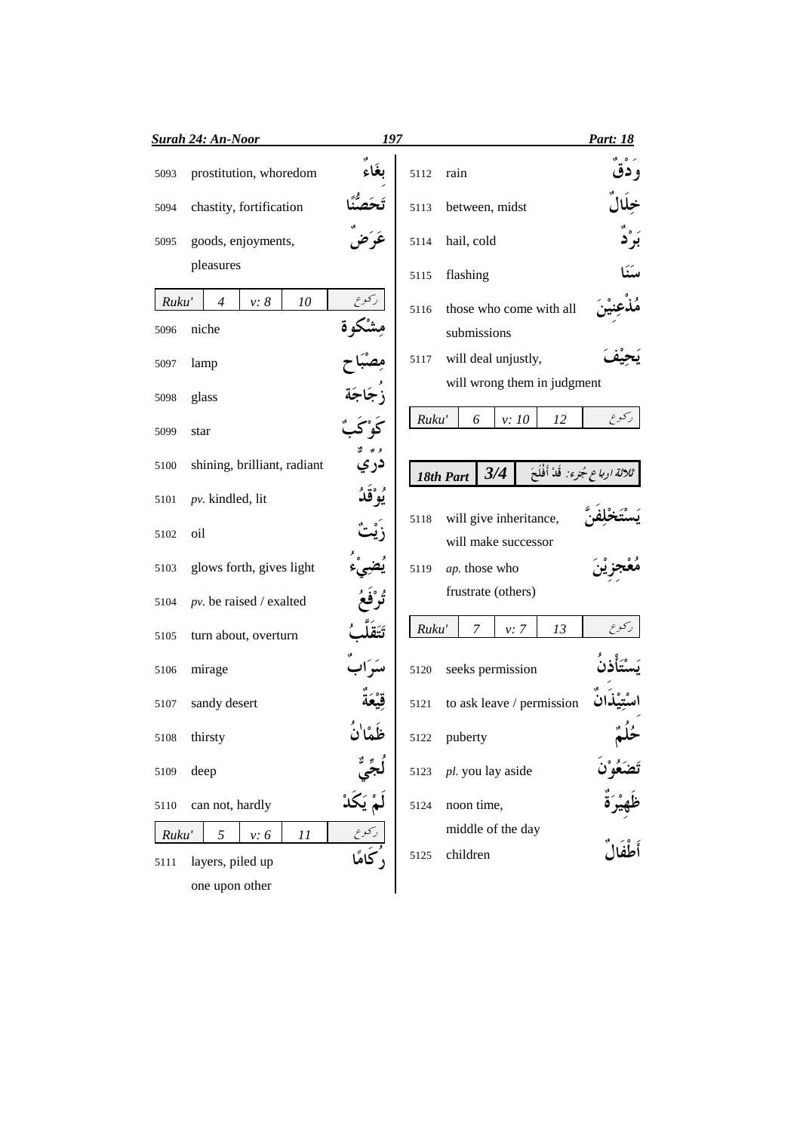|       | <b>Surah 24: An-Noor</b>            | 197                   |                                                       | Part: 18        |
|-------|-------------------------------------|-----------------------|-------------------------------------------------------|-----------------|
| 5093  | prostitution, whoredom              | ىغاء                  | rain<br>5112                                          | و دق            |
| 5094  | chastity, fortification             |                       | between, midst<br>5113                                |                 |
| 5095  | goods, enjoyments,                  |                       | hail, cold<br>5114                                    |                 |
|       | pleasures                           |                       | flashing<br>5115                                      |                 |
| Ruku' | $v: \delta$<br>10<br>$\overline{4}$ |                       | those who come with all<br>5116                       |                 |
| 5096  | niche                               |                       | submissions                                           |                 |
| 5097  | lamp                                |                       | will deal unjustly,<br>5117                           |                 |
| 5098  | glass                               |                       | will wrong them in judgment                           |                 |
| 5099  | star                                |                       | Ruku'<br>6<br>v: 10<br>12                             | ركوع            |
| 5100  | shining, brilliant, radiant         | دري                   | ثلاثة ارباع جُزء: قَدْ أَفْلَحَ<br>3/4<br>18th Part   |                 |
| 5101  | $pv.$ kindled, lit                  | <sup>و ه</sup> ُقَدُّ |                                                       |                 |
| 5102  | oil                                 |                       | will give inheritance,<br>5118<br>will make successor |                 |
| 5103  | glows forth, gives light            |                       | ap. those who<br>5119                                 |                 |
| 5104  | $pv.$ be raised / exalted           |                       | frustrate (others)                                    |                 |
| 5105  | turn about, overturn                |                       | Ruku'<br>7<br>$v: \, 7$<br>13                         | ركوع            |
| 5106  | mirage                              |                       | seeks permission<br>5120                              |                 |
| 5107  | sandy desert                        |                       | to ask leave / permission<br>5121                     |                 |
| 5108  | thirsty                             | ظَمَا'نُ              | puberty<br>5122                                       |                 |
| 5109  | deep                                |                       | pl. you lay aside<br>5123                             | حلم<br>تَصَعُوْ |
| 5110  | can not, hardly                     |                       | noon time,<br>5124                                    |                 |
| Ruku' | 5<br>v: 6<br>11                     |                       | middle of the day                                     |                 |
| 5111  | layers, piled up                    |                       | children<br>5125                                      |                 |
|       | one upon other                      |                       |                                                       |                 |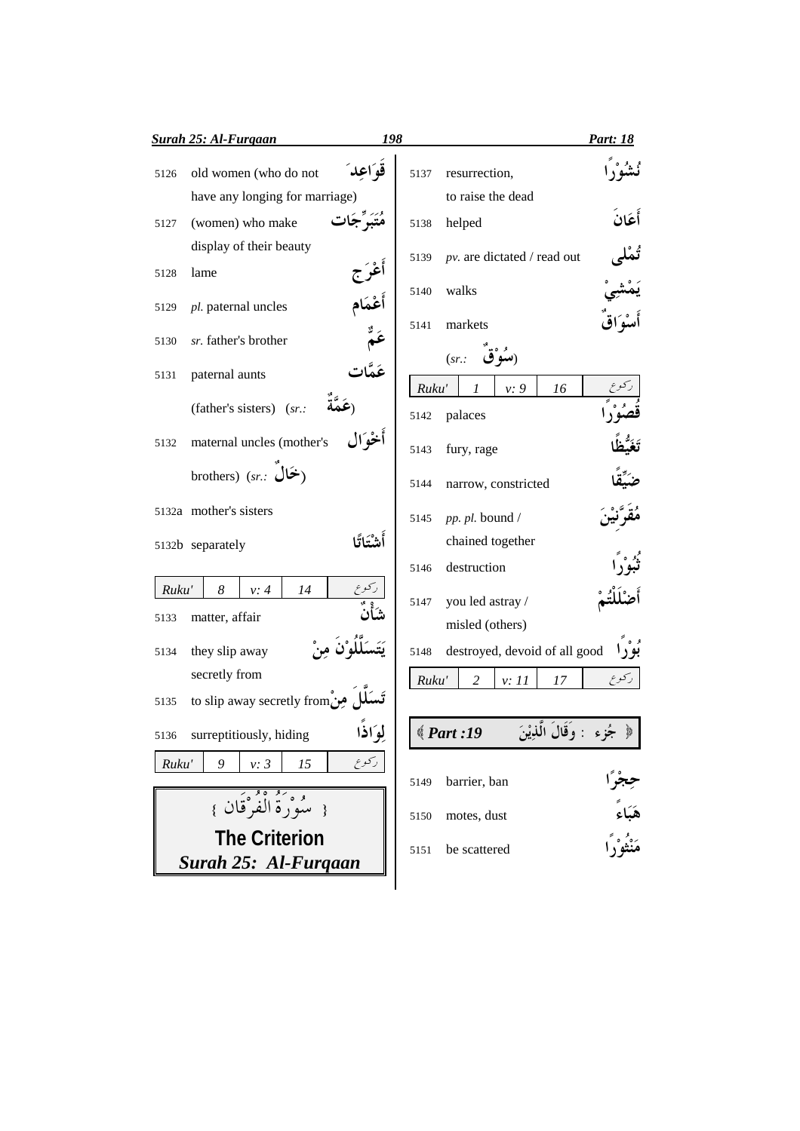|       | <b>Surah 25: Al-Furgaan</b>    | 198        |               |                    |                               |    | Part: 18                            |
|-------|--------------------------------|------------|---------------|--------------------|-------------------------------|----|-------------------------------------|
| 5126  | old women (who do not          | قە اعد     | 5137          |                    | resurrection,                 |    |                                     |
|       | have any longing for marriage) |            |               |                    | to raise the dead             |    |                                     |
| 5127  | (women) who make               |            | 5138          | helped             |                               |    | أعَان                               |
|       | display of their beauty        |            | 5139          |                    | pv. are dictated / read out   |    |                                     |
| 5128  | lame                           |            |               |                    |                               |    |                                     |
| 5129  | pl. paternal uncles            | أَعْمَام   | 5140          | walks              |                               |    |                                     |
| 5130  | sr. father's brother           | عَمٌ       | 5141          | markets            |                               |    |                                     |
| 5131  | paternal aunts                 |            |               | (sr.               | (سَوَّق                       |    |                                     |
|       | (father's sisters) (sr.:       |            | Ruku'<br>5142 | 1<br>palaces       | v: 9                          | 16 |                                     |
| 5132  | maternal uncles (mother's      | أخوال      | 5143          | fury, rage         |                               |    |                                     |
|       | brothers) (sr.: أَخَالَ        |            | 5144          |                    | narrow, constricted           |    |                                     |
|       | 5132a mother's sisters         |            | 5145          |                    | pp. pl. bound /               |    |                                     |
|       | 5132b separately               | أشَّتَاتًا |               |                    | chained together              |    |                                     |
|       |                                |            | 5146          | destruction        |                               |    |                                     |
| Ruku' | 8<br>v: 4<br>14                |            | 5147          |                    | you led astray /              |    |                                     |
| 5133  | matter, affair                 |            |               |                    | misled (others)               |    |                                     |
| 5134  | they slip away                 |            | 5148          |                    | destroyed, devoid of all good |    |                                     |
|       | secretly from                  |            |               |                    |                               |    |                                     |
| 5135  | to slip away secretly from ومن |            | Ruku'         | 2                  | v: 11                         | 17 | كوع                                 |
|       |                                |            |               |                    |                               |    |                                     |
| 5136  | surreptitiously, hiding        | لِوَاذَا   |               | $\langle$ Part :19 |                               |    | ﴿ جُزء : وَقَالَ الَّذِيْنَ         |
| Ruku' | 9<br>v: 3<br>15                | ركوع       | 5149          | barrier, ban       |                               |    |                                     |
|       | { سُوَرَةُ الْفُرْقَانَ }      |            | 5150          | motes, dust        |                               |    |                                     |
|       | <b>The Criterion</b>           |            |               |                    |                               |    | هَبَاءً<br>مَنْثُوْ <sub>ن</sub> ًا |
|       | Surah 25: Al-Furgaan           |            | 5151          | be scattered       |                               |    |                                     |
|       |                                |            |               |                    |                               |    |                                     |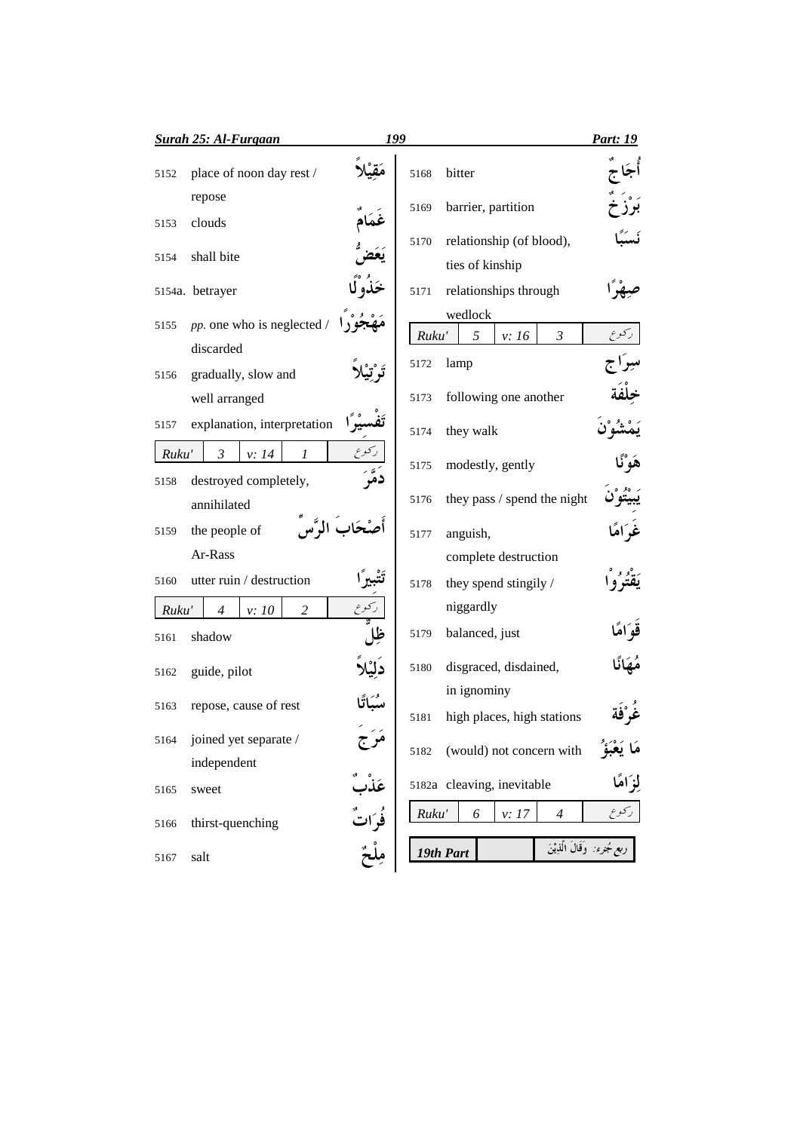|       | <b>Surah 25: Al-Furgaan</b>              | 199               |       |                                         | Part: 19                             |
|-------|------------------------------------------|-------------------|-------|-----------------------------------------|--------------------------------------|
| 5152  | place of noon day rest /                 |                   | 5168  | bitter                                  |                                      |
|       | repose                                   |                   | 5169  | barrier, partition                      |                                      |
| 5153  | clouds                                   |                   | 5170  | relationship (of blood),                |                                      |
| 5154  | shall bite                               |                   |       | ties of kinship                         |                                      |
|       | 5154a. betrayer                          |                   | 5171  | relationships through                   |                                      |
| 5155  | pp. one who is neglected /<br>discarded  |                   | Ruku' | wedlock<br>5<br>$\mathfrak{Z}$<br>v: 16 |                                      |
| 5156  | gradually, slow and                      |                   | 5172  | lamp                                    |                                      |
|       | well arranged                            |                   | 5173  | following one another                   |                                      |
| 5157  | explanation, interpretation              |                   | 5174  | they walk                               |                                      |
| Ruku' | $\mathfrak{Z}$<br>v: 14<br>1             | ركوع<br>دَمَّرَ   | 5175  | modestly, gently                        |                                      |
| 5158  | destroyed completely,<br>annihilated     |                   | 5176  | they pass / spend the night             |                                      |
| 5159  | the people of                            |                   | 5177  | anguish,                                |                                      |
|       | Ar-Rass                                  |                   |       | complete destruction                    |                                      |
| 5160  | utter ruin / destruction                 |                   | 5178  | they spend stingily /                   |                                      |
| Ruku' | $\overline{c}$<br>$\overline{4}$<br>v:10 |                   |       | niggardly                               |                                      |
| 5161  | shadow                                   |                   | 5179  | balanced, just                          |                                      |
| 5162  | guide, pilot                             |                   | 5180  | disgraced, disdained,                   |                                      |
| 5163  | repose, cause of rest                    |                   |       | in ignominy                             |                                      |
| 5164  | joined yet separate /                    |                   | 5181  | high places, high stations              |                                      |
|       | independent                              | مرج               | 5182  | (would) not concern with                | مَا يَعْبَؤُ                         |
| 5165  | sweet                                    |                   |       | 5182a cleaving, inevitable              | لَوْ اهًا                            |
| 5166  | thirst-quenching                         | عَذْبٌ<br>فُوَاتٌ | Ruku' | 6<br>v: 17<br>$\overline{4}$            | ركوع                                 |
| 5167  | salt                                     |                   |       | 19th Part                               | ر <i>بع جُزء:</i> وَقَالَ الَّذِيْنَ |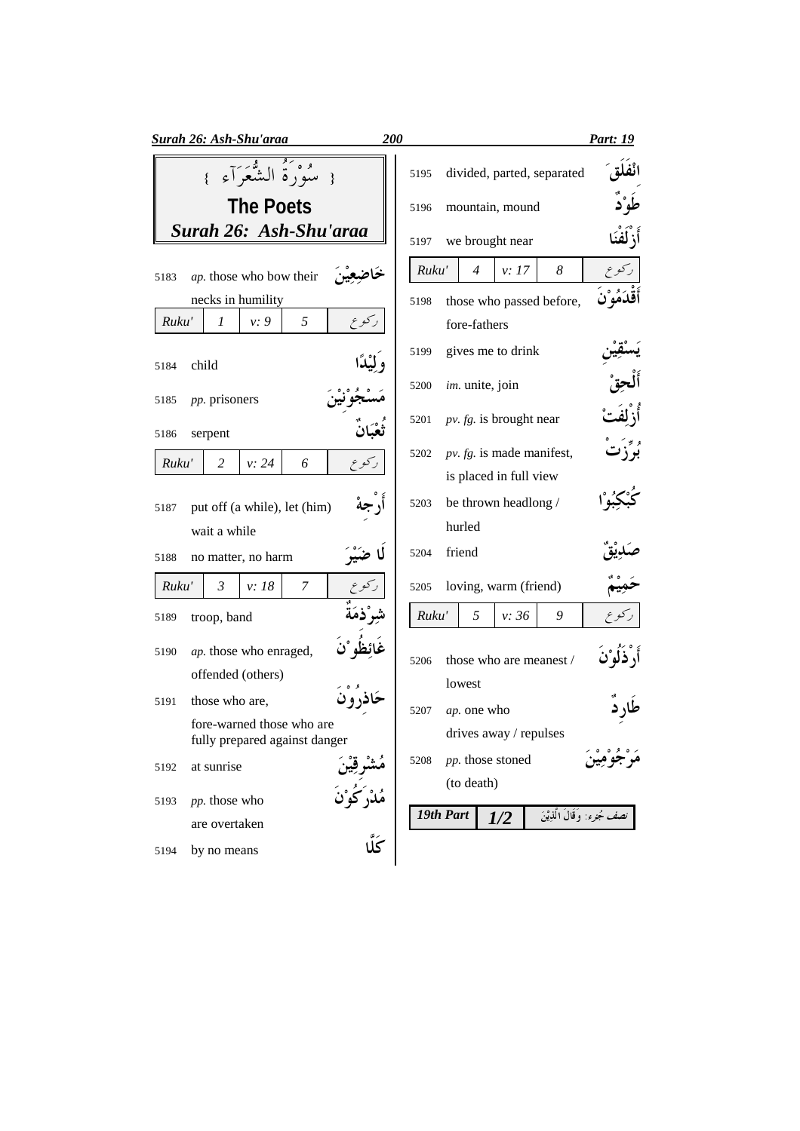| Surah 26: Ash-Shu'araa                                     | 200         |           |                 |                           |                             | <u>Part: 19</u>              |
|------------------------------------------------------------|-------------|-----------|-----------------|---------------------------|-----------------------------|------------------------------|
| { سُوْرَةُ الشَّعَرَآءِ }                                  | 5195        |           |                 |                           | divided, parted, separated  |                              |
| <b>The Poets</b>                                           | 5196        |           |                 | mountain, mound           |                             |                              |
| Surah 26: Ash-Shu'araa                                     | 5197        |           |                 | we brought near           |                             | أَزْلَفْنَا                  |
| ap. those who bow their<br>5183                            |             | Ruku'     | $\overline{4}$  | v: 17                     | 8                           | ر کو ع                       |
| necks in humility                                          | 5198        |           |                 |                           | those who passed before,    | أقدَمُوْن                    |
| 5<br>ر کو ع<br>Ruku'<br>1<br>v: 9                          |             |           | fore-fathers    |                           |                             |                              |
| child<br>5184                                              | 5199        |           |                 | gives me to drink         |                             |                              |
| <i>pp.</i> prisoners<br>5185                               | 5200        |           | im. unite, join |                           |                             |                              |
| 5186<br>serpent                                            | 5201        |           |                 | $pv. fg.$ is brought near |                             |                              |
| Ruku'<br>2<br>v: 24<br>6<br>ركوع                           | 5202        |           |                 |                           | $pv. fg.$ is made manifest, |                              |
|                                                            |             |           |                 | is placed in full view    |                             |                              |
| put off (a while), let (him)<br>5187                       | 5203        |           |                 | be thrown headlong /      |                             |                              |
| wait a while                                               |             |           | hurled          |                           |                             |                              |
| no matter, no harm<br>5188                                 | 5204        |           | friend          |                           |                             |                              |
| $\mathfrak{Z}$<br>$\overline{7}$<br>Ruku'<br>v: 18         | 5205        |           |                 | loving, warm (friend)     |                             |                              |
| troop, band<br>5189                                        |             | Ruku'     | 5               | v: 36                     | 9                           |                              |
| ap. those who enraged,<br>5190                             | 5206        |           |                 |                           | those who are meanest /     |                              |
| offended (others)                                          |             |           | lowest          |                           |                             |                              |
| those who are,<br>5191                                     | 5207        |           | ap. one who     |                           |                             |                              |
| fore-warned those who are<br>fully prepared against danger |             |           |                 | drives away / repulses    |                             |                              |
| at sunrise<br>5192                                         | 5208        |           |                 | pp. those stoned          |                             |                              |
| pp. those who<br>5193                                      |             |           | (to death)      |                           |                             |                              |
| are overtaken                                              |             | 19th Part |                 | 1/2                       |                             | نصف جُزء: وَقَالَ الَّذِيْنَ |
| by no means<br>5194                                        | َ<br>كَلَّا |           |                 |                           |                             |                              |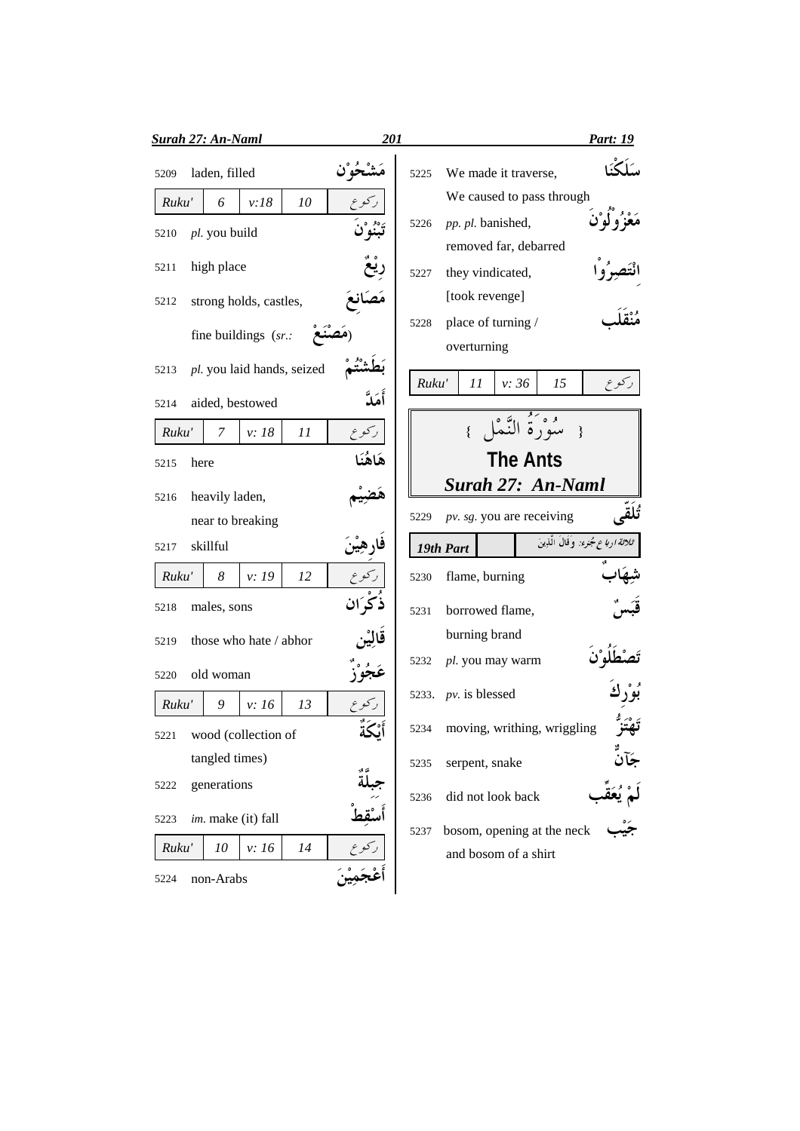| <b>Surah 27: An-Naml</b>           | 201      | <b>Part: 19</b>                                            |
|------------------------------------|----------|------------------------------------------------------------|
| laden, filled<br>5209              |          | We made it traverse,<br>5225                               |
| Ruku'<br>v:18<br>10<br>6           |          | We caused to pass through                                  |
| pl. you build<br>5210              |          | pp. pl. banished,<br>5226                                  |
|                                    |          | removed far, debarred                                      |
| high place<br>5211                 |          | they vindicated,<br>5227                                   |
| strong holds, castles,<br>5212     |          | [took revenge]                                             |
| fine buildings $(sr.$ :            |          | place of turning /<br>5228<br>overturning                  |
| pl. you laid hands, seized<br>5213 |          |                                                            |
| aided, bestowed<br>5214            | أَمَدَّ  | Ruku'<br>v: 36<br>15<br>ر کو ع<br>11                       |
| v: 18<br>11<br>Ruku'<br>7          | ركوع     | سورة الذّ<br>$\mathcal{E}$                                 |
| 5215<br>here                       | هَاهُنَا | <b>The Ants</b>                                            |
| heavily laden,<br>5216             |          | Surah 27: An-Naml                                          |
| near to breaking                   |          | تُلقى<br>pv. sg. you are receiving<br>5229                 |
| skillful<br>5217                   | فارهين   | ثلاثة ارباع جُزء: وفَالَ الَّذِينَ<br>19th Part            |
| Ruku'<br>8<br>v: 19<br>12          |          | flame, burning<br>5230                                     |
| males, sons<br>5218                | ذكران    | borrowed flame,<br>5231                                    |
| those who hate / abhor<br>5219     | قالين    | burning brand                                              |
| old woman<br>5220                  | عجوز     | pl. you may warm<br>5232                                   |
| Ruku'<br>9<br>v: 16<br>13          |          | $pv.$ is blessed<br>5233.                                  |
| wood (collection of<br>5221        | ايحه     | moving, writhing, wriggling<br>5234                        |
| tangled times)                     |          | serpent, snake<br>5235                                     |
| generations<br>5222                | ن ج      | did not look back<br>5236                                  |
| im. make (it) fall<br>5223         |          |                                                            |
| Ruku'<br>10<br>v: 16<br>14         |          | bosom, opening at the neck<br>5237<br>and bosom of a shirt |
| non-Arabs<br>5224                  |          |                                                            |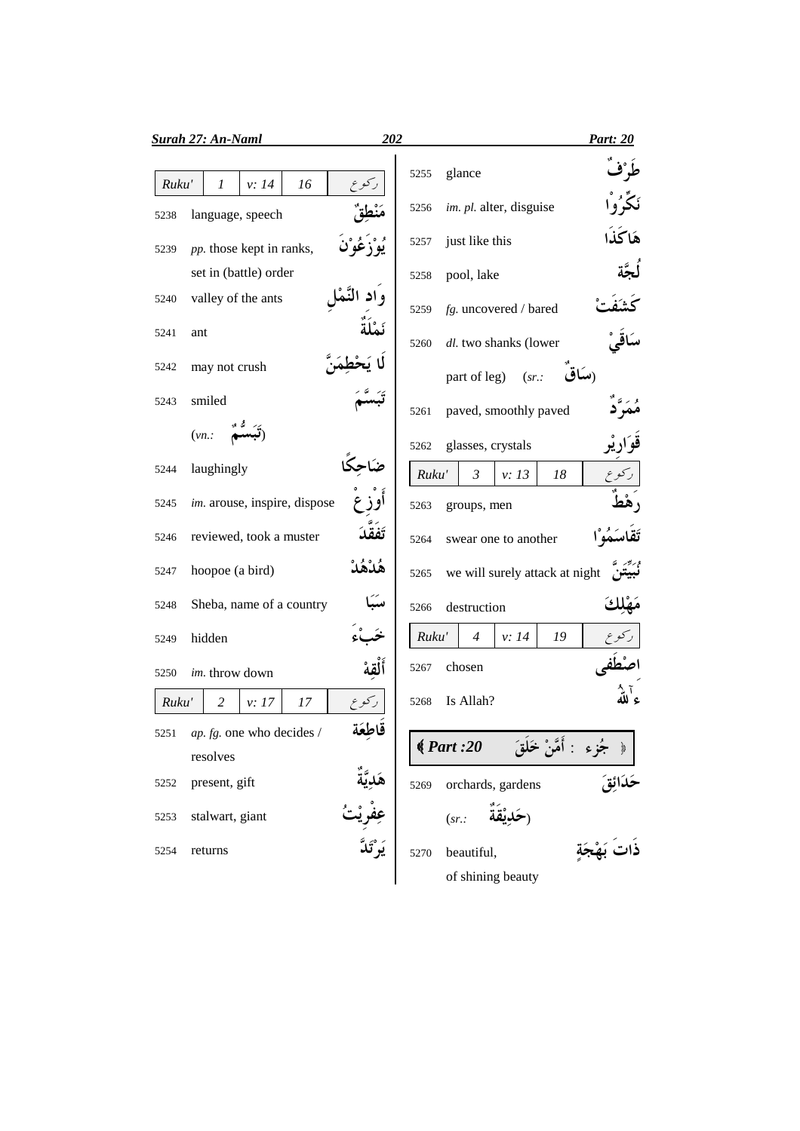|       | <b>Surah 27: An-Naml</b>              | 202   |       |                                | <b>Part: 20</b> |
|-------|---------------------------------------|-------|-------|--------------------------------|-----------------|
| Ruku' | 16<br>v: 14<br>1                      |       | 5255  | glance                         |                 |
| 5238  | language, speech                      |       | 5256  | im. pl. alter, disguise        |                 |
| 5239  | pp. those kept in ranks,              |       | 5257  | just like this                 | هَاكُذَا        |
|       | set in (battle) order                 |       | 5258  | pool, lake                     |                 |
| 5240  | valley of the ants                    |       | 5259  | fg. uncovered / bared          |                 |
| 5241  | ant                                   |       | 5260  | dl. two shanks (lower          |                 |
| 5242  | may not crush                         |       |       | part of leg)<br>(sr.           |                 |
| 5243  | smiled                                |       | 5261  | paved, smoothly paved          |                 |
|       | (vn.                                  |       | 5262  | glasses, crystals              |                 |
| 5244  | laughingly                            |       | Ruku' | $\mathfrak{Z}$<br>18<br>v: 13  |                 |
| 5245  | im. arouse, inspire, dispose          |       | 5263  | groups, men                    |                 |
| 5246  | reviewed, took a muster               |       | 5264  | swear one to another           |                 |
| 5247  | hoopoe (a bird)                       |       | 5265  | we will surely attack at night |                 |
| 5248  | Sheba, name of a country              |       | 5266  | destruction                    |                 |
| 5249  | hidden                                |       | Ruku' | $\overline{4}$<br>v: 14<br>19  |                 |
| 5250  | im. throw down                        |       | 5267  | chosen                         |                 |
| Ruku' | 2<br>v: 17<br>17                      | ركوع  | 5268  | Is Allah?                      |                 |
|       | 5251 <i>ap. fg.</i> one who decides / | قاطعة |       | : أَمَّنْ<br>$\big( Part: 20$  |                 |
|       | resolves                              |       |       |                                |                 |
| 5252  | present, gift                         |       | 5269  | orchards, gardens              |                 |
| 5253  | stalwart, giant                       |       |       | (sr.                           |                 |
| 5254  | returns                               |       | 5270  | beautiful,                     |                 |
|       |                                       |       |       | of shining beauty              |                 |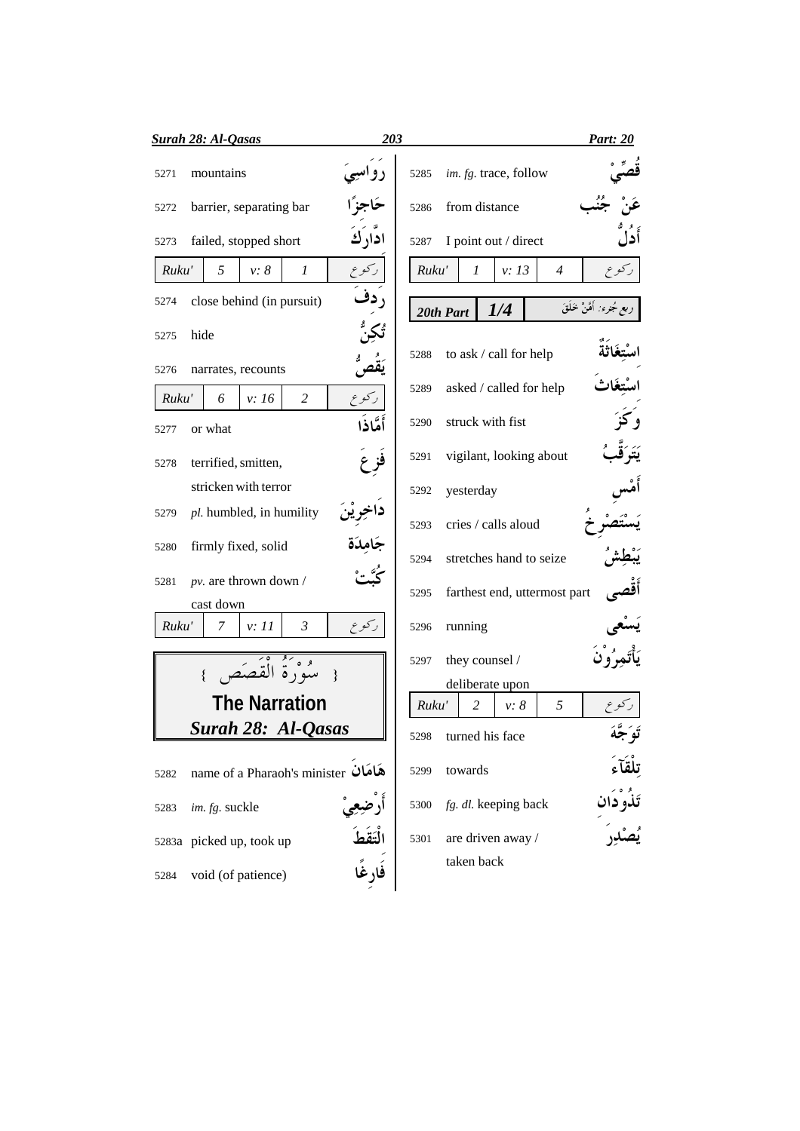| <b>Surah 28: Al-Qasas</b>                                 | 203                                   | <b>Part: 20</b>            |
|-----------------------------------------------------------|---------------------------------------|----------------------------|
| mountains<br>5271                                         | im. fg. trace, follow<br>5285         |                            |
| barrier, separating bar<br>5272                           | from distance<br>5286                 |                            |
| ادارك<br>failed, stopped short<br>5273                    | I point out / direct<br>5287          | أدل                        |
| Ruku'<br>5<br>رکوع<br>v: 8<br>$\mathcal{I}$               | v: 13<br>Ruku'<br>1<br>$\overline{4}$ | ر کو ع                     |
| , دف<br>close behind (in pursuit)<br>5274                 | 1/4<br>20th Part                      | ربع مُجنرء: أَمَّنْ خَلَقَ |
| hide<br>5275                                              |                                       |                            |
| narrates, recounts<br>5276                                | to ask / call for help<br>5288        |                            |
| $\overline{c}$<br>ركوع<br>Ruku'<br>6<br>v: 16             | asked / called for help<br>5289       |                            |
| أَمَّاذَا<br>or what<br>5277                              | struck with fist<br>5290              |                            |
| terrified, smitten,<br>5278                               | vigilant, looking about<br>5291       |                            |
| stricken with terror                                      | yesterday<br>5292                     |                            |
| pl. humbled, in humility<br>5279                          | cries / calls aloud<br>5293           |                            |
| جَامِدَة<br>firmly fixed, solid<br>5280                   | stretches hand to seize<br>5294       |                            |
| $pv$ . are thrown down /<br>5281<br>cast down             | farthest end, uttermost part<br>5295  |                            |
| $\mathfrak{Z}$<br>ركوع<br>Ruku'<br>$\mathcal{I}$<br>v: 11 | running<br>5296                       |                            |
| مثورَةُ الْقَصَصَ<br>$\rightarrow$                        | they counsel /<br>5297                | يَأْتَمِرُونَ              |
|                                                           | deliberate upon                       |                            |
| <b>The Narration</b>                                      | Ruku'<br>$\overline{2}$<br>5<br>v: 8  | كوع                        |
| Surah 28: Al-Qasas                                        | 5298<br>turned his face               | ر که بر<br>توجه            |
| name of a Pharaoh's minister هَامَان<br>5282              | towards<br>5299                       |                            |
| im. fg. suckle<br>5283                                    | fg. dl. keeping back<br>5300          |                            |
| 5283a picked up, took up                                  | are driven away /<br>5301             |                            |
| فَارغًا<br>void (of patience)<br>5284                     | taken back                            |                            |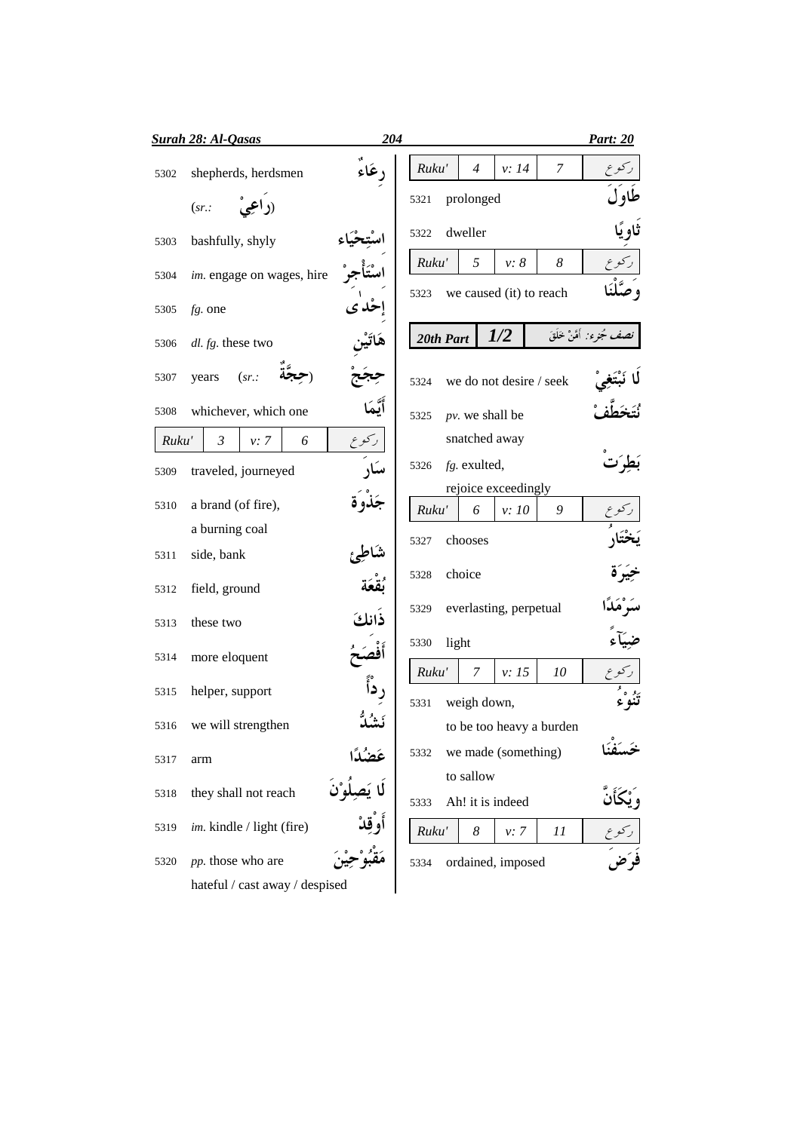|       | Surah 28: Al-Qasas             | 204                       |                                       |       |                          | <b>Part: 20</b>           |
|-------|--------------------------------|---------------------------|---------------------------------------|-------|--------------------------|---------------------------|
| 5302  | shepherds, herdsmen            | رعَاء                     | Ruku'<br>$\overline{4}$               | v: 14 | 7                        |                           |
|       | (sr.                           |                           | prolonged<br>5321                     |       |                          | طاو ل                     |
| 5303  | bashfully, shyly               |                           | dweller<br>5322                       |       |                          | ثاو پًا                   |
| 5304  | im. engage on wages, hire      |                           | 5<br>Ruku'                            | v: 8  | 8                        |                           |
| 5305  | $fg$ . one                     |                           | we caused (it) to reach<br>5323       |       |                          |                           |
| 5306  | dl. fg. these two              |                           | 20th Part                             | 1/2   |                          | نصف مُجرء: أَمَّنْ خَلَقَ |
| 5307  | (sr.<br>years                  |                           | we do not desire / seek<br>5324       |       |                          |                           |
| 5308  | whichever, which one           | أيّمَد                    | $pv$ . we shall be<br>5325            |       |                          |                           |
| Ruku' | $\mathfrak{Z}$<br>v: 7<br>6    | ركوع                      | snatched away                         |       |                          |                           |
| 5309  | traveled, journeyed            | سکار                      | fg. exulted,<br>5326                  |       |                          |                           |
| 5310  | a brand (of fire),             |                           | rejoice exceedingly<br>Ruku'<br>6     | v: 10 | 9                        |                           |
|       | a burning coal                 |                           |                                       |       |                          |                           |
| 5311  | side, bank                     |                           | chooses<br>5327                       |       |                          |                           |
| 5312  | field, ground                  |                           | choice<br>5328                        |       |                          |                           |
| 5313  | these two                      | ذانكَ                     | everlasting, perpetual<br>5329        |       |                          | سَه ٛهَ                   |
| 5314  | more eloquent                  |                           | light<br>5330                         |       |                          |                           |
| 5315  | helper, support                |                           | Ruku'<br>7                            | v: 15 | 10                       | ئۇ °،                     |
| 5316  | we will strengthen             |                           | weigh down,<br>5331                   |       | to be too heavy a burden |                           |
| 5317  | arm                            |                           | we made (something)<br>5332           |       |                          |                           |
| 5318  | they shall not reach           | عَضُدًا<br>لَا يَصِلُوْنَ | to sallow<br>Ah! it is indeed<br>5333 |       |                          |                           |
| 5319  | im. kindle / light (fire)      | أَوْقِدْ                  | Ruku'<br>8                            | v: 7  | 11                       |                           |
| 5320  | pp. those who are              |                           | ordained, imposed<br>5334             |       |                          |                           |
|       | hateful / cast away / despised |                           |                                       |       |                          |                           |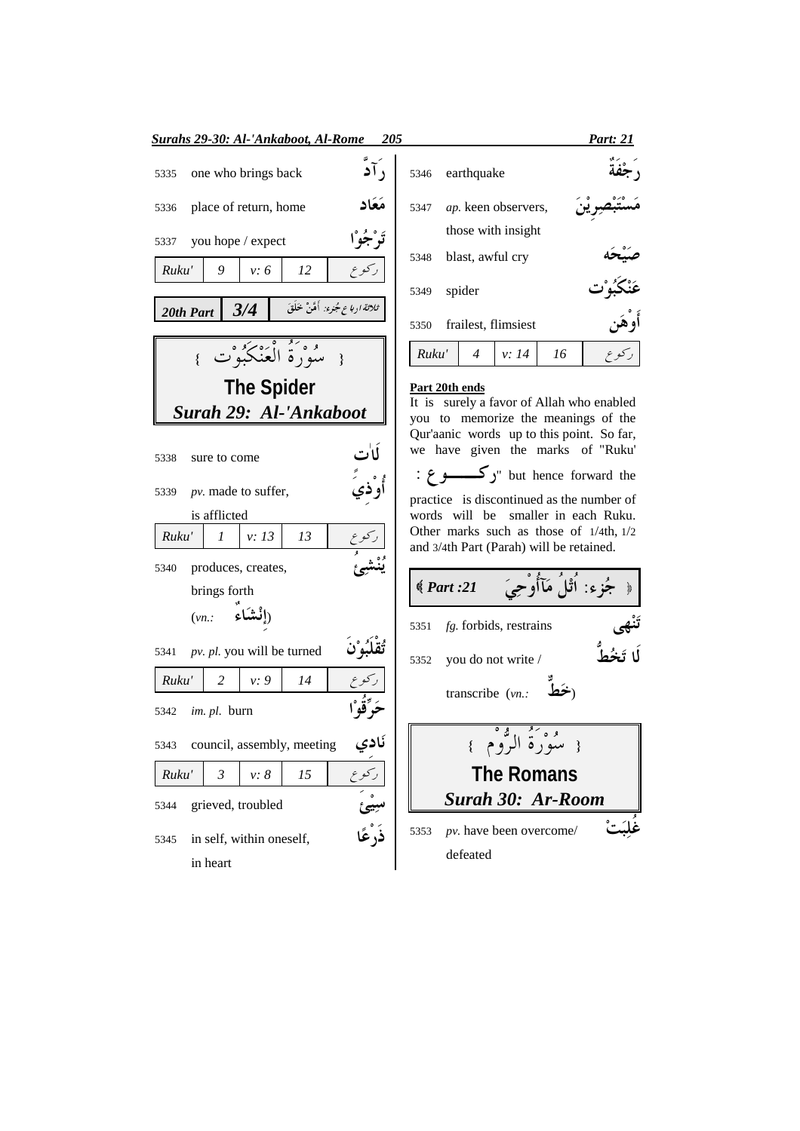| <b>Surahs 29-30: Al-'Ankaboot, Al-Rome</b><br>205 |                             |                     |                              |                                          |  |  |  |  |  |
|---------------------------------------------------|-----------------------------|---------------------|------------------------------|------------------------------------------|--|--|--|--|--|
| 5335                                              | , آد<br>one who brings back |                     |                              |                                          |  |  |  |  |  |
| 5336                                              | place of return, home       |                     |                              |                                          |  |  |  |  |  |
| 5337                                              | you hope / expect           |                     |                              |                                          |  |  |  |  |  |
| Ruku'                                             | 9                           | v: 6                | 12                           |                                          |  |  |  |  |  |
|                                                   | 20th Part $3/4$             |                     |                              | ث <i>لاثة ارباع جُزء:</i> أَهَّنْ خَلَقَ |  |  |  |  |  |
|                                                   |                             |                     | { سُوْرَةُ الْعَنْكَبُوْتَ } |                                          |  |  |  |  |  |
|                                                   |                             | <b>The Spider</b>   |                              |                                          |  |  |  |  |  |
|                                                   | Surah 29: Al-'Ankaboot      |                     |                              |                                          |  |  |  |  |  |
| 5338                                              | sure to come                |                     |                              |                                          |  |  |  |  |  |
| 5339                                              | pv. made to suffer,         |                     |                              |                                          |  |  |  |  |  |
|                                                   | is afflicted                |                     |                              |                                          |  |  |  |  |  |
| Ruku'                                             | 1                           | v: 13               | 13                           |                                          |  |  |  |  |  |
| 5340                                              | produces, creates,          |                     |                              |                                          |  |  |  |  |  |
|                                                   | brings forth                |                     |                              |                                          |  |  |  |  |  |
|                                                   | $(vn)$ :                    | ( <b>إِنْشَاء</b> َ |                              |                                          |  |  |  |  |  |
| 5341                                              | pv. pl. you will be turned  |                     |                              |                                          |  |  |  |  |  |
| Ruku'                                             | 2                           | v: 9                | 14                           |                                          |  |  |  |  |  |
|                                                   | 5342 <i>im. pl.</i> burn    |                     |                              |                                          |  |  |  |  |  |
| 5343                                              | council, assembly, meeting  |                     |                              | ئادي<br>-                                |  |  |  |  |  |
| Ruku'                                             | 3                           | v: 8                | 15                           |                                          |  |  |  |  |  |
| 5344                                              | grieved, troubled           |                     |                              | ترتی<br>نَگُهُّا                         |  |  |  |  |  |
| 5345                                              | in self, within oneself,    |                     |                              |                                          |  |  |  |  |  |
|                                                   | in heart                    |                     |                              |                                          |  |  |  |  |  |

|       |                            |                     |    | <b>Part: 21</b> |
|-------|----------------------------|---------------------|----|-----------------|
| 5346  | earthquake                 |                     |    |                 |
| 5347  | <i>ap.</i> keen observers, |                     |    |                 |
|       |                            | those with insight  |    |                 |
| 5348  | blast, awful cry           |                     |    |                 |
| 5349  | spider                     |                     |    |                 |
| 5350  |                            | frailest, flimsiest |    |                 |
| Ruku' | $\overline{4}$             | v: 14               | 16 |                 |

## Part 20th ends

It is surely a favor of Allah who enabled you to memorize the meanings of the Qur'aanic words up to this point. So far, we have given the marks of "Ruku" : ترکــــــــو ع: but hence forward the practice is discontinued as the number of words will be smaller in each Ruku. Other marks such as those of  $1/4$ th,  $1/2$ and 3/4th Part (Parah) will be retained.

﴿ جُزِء: اُثْلُ مَآأُوْحِيَ  $\big\langle Part: 21 \big\rangle$ 5351 fg. forbids, restrains 5352 you do not write / transcribe  $(\nu n.$ : تَحَطُّ **The Romans Surah 30: Ar-Room** 5353 *pv*. have been overcome/ defeated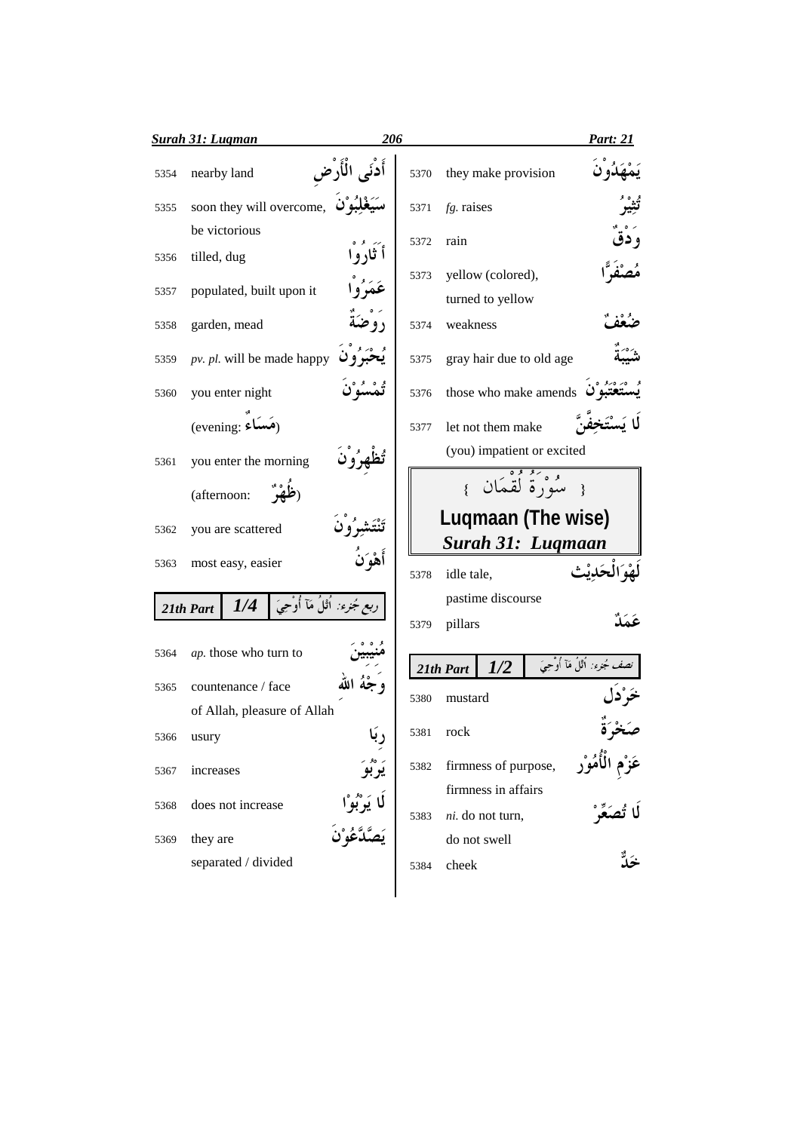|      | <b>Surah 31: Lugman</b>                              | 206               |      |                                           | <b>Part: 21</b>                   |
|------|------------------------------------------------------|-------------------|------|-------------------------------------------|-----------------------------------|
| 5354 | nearby land                                          | أَدْنَى الْأَرْضِ | 5370 | they make provision                       |                                   |
| 5355 | soon they will overcome, سَيَغْلِبُوْنَ              |                   | 5371 | $fg$ . raises                             |                                   |
|      | be victorious                                        |                   | 5372 | rain                                      |                                   |
| 5356 | tilled, dug                                          | أتَارُوْا         |      |                                           |                                   |
| 5357 | populated, built upon it                             | عَمَرُوا          | 5373 | yellow (colored),<br>turned to yellow     |                                   |
| 5358 | garden, mead                                         |                   | 5374 | weakness                                  |                                   |
| 5359 | pv. pl. will be made happy                           |                   | 5375 | gray hair due to old age                  |                                   |
| 5360 | you enter night                                      | تُمْسُوْنَ        | 5376 | those who make amends $\ddot{\mathbf{u}}$ |                                   |
|      | (evening: (هَسَاءٌ)                                  |                   | 5377 | let not them make                         |                                   |
| 5361 | you enter the morning                                |                   |      | (you) impatient or excited                |                                   |
|      | (afternoon:                                          |                   |      | { سُوَرَةٌ لُقْمَانَ }                    |                                   |
| 5362 | you are scattered                                    |                   |      | Luqmaan (The wise)                        |                                   |
|      |                                                      | أَهْوَلَ          |      | Surah 31: Luqmaan                         |                                   |
| 5363 | most easy, easier                                    |                   | 5378 | idle tale,                                |                                   |
|      | ربع جُزء: اُٿلُ مَآ أُوْحِيَ ۖ ۖ<br>1/4<br>21th Part |                   |      | pastime discourse                         |                                   |
|      |                                                      |                   | 5379 | pillars                                   |                                   |
| 5364 | ap. those who turn to                                |                   |      | 1/2<br>21th Part                          | نصف جُمْرَءَ: أُثْلُ مَآ أُوْحِيَ |
| 5365 | countenance / face                                   |                   |      |                                           |                                   |
|      | of Allah, pleasure of Allah                          |                   | 5380 | mustard                                   |                                   |
| 5366 | usury                                                | ٠۱.               | 5381 | rock                                      |                                   |
| 5367 | increases                                            |                   | 5382 | firmness of purpose,                      |                                   |
|      |                                                      |                   |      | firmness in affairs                       |                                   |
| 5368 | does not increase                                    |                   | 5383 | ni. do not turn,                          |                                   |
| 5369 | they are                                             |                   |      | do not swell                              |                                   |
|      | separated / divided                                  |                   | 5384 | cheek                                     |                                   |
|      |                                                      |                   |      |                                           |                                   |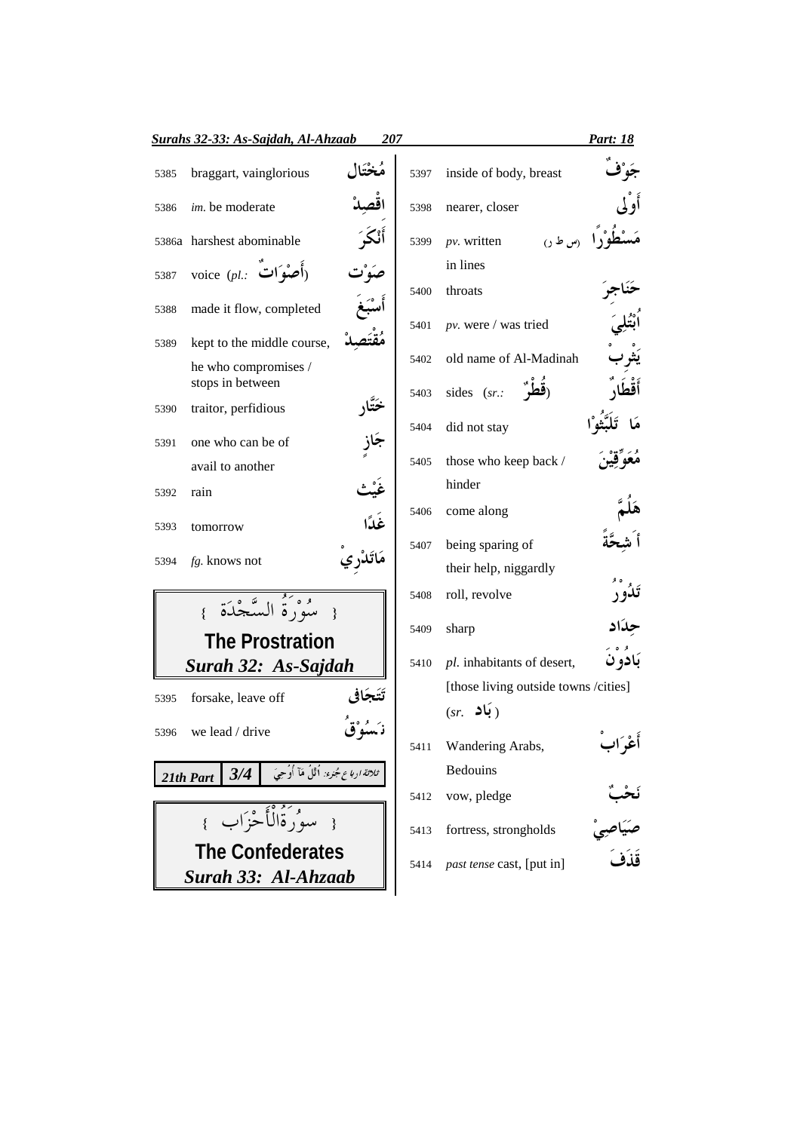|      | Surahs 32-33: As-Sajdah, Al-Ahzaab                         |        | Part: 18 |                                      |                               |
|------|------------------------------------------------------------|--------|----------|--------------------------------------|-------------------------------|
| 5385 | braggart, vainglorious                                     | سختاا  | 5397     | inside of body, breast               |                               |
| 5386 | im. be moderate                                            |        | 5398     | nearer, closer                       |                               |
|      | 5386a harshest abominable                                  |        | 5399     | (س طن)<br>$pv.$ written              |                               |
| 5387 | voice (pl.: أصْوَات                                        |        |          | in lines                             |                               |
| 5388 | made it flow, completed                                    |        | 5400     | throats                              |                               |
| 5389 | kept to the middle course,                                 |        | 5401     | $pv.$ were / was tried               |                               |
|      | he who compromises /                                       |        | 5402     | old name of Al-Madinah               |                               |
|      | stops in between                                           |        |          | sides (sr.:                          |                               |
| 5390 | traitor, perfidious                                        | ختار   | 5403     |                                      |                               |
|      |                                                            |        | 5404     | did not stay                         |                               |
| 5391 | one who can be of                                          |        |          |                                      |                               |
|      | avail to another                                           |        | 5405     | those who keep back /                |                               |
| 5392 | rain                                                       |        |          | hinder                               |                               |
| 5393 | tomorrow                                                   | غَدًا  | 5406     | come along                           |                               |
|      |                                                            |        | 5407     | being sparing of                     |                               |
| 5394 | $fg$ . knows not                                           |        |          | their help, niggardly                |                               |
|      | مْدِينُهُ السَّجْدَة                                       |        | 5408     | roll, revolve                        |                               |
|      | <b>The Prostration</b>                                     |        | 5409     | sharp                                |                               |
|      | Surah 32: As-Sajdah                                        |        | 5410     | pl. inhabitants of desert,           | بَادو ن                       |
|      |                                                            |        |          | [those living outside towns /cities] |                               |
| 5395 | forsake, leave off                                         | تتخافى |          | ( بَاد<br>(sr.                       |                               |
|      | 5396 we lead / drive                                       |        |          |                                      |                               |
|      |                                                            |        | 5411     | Wandering Arabs,                     | أغراب                         |
|      | ثلاثة ادباع جُنزء: أُثْلُ مَآ أُوُحِيَ<br>3/4<br>21th Part |        |          | <b>Bedouins</b>                      |                               |
|      |                                                            |        | 5412     | vow, pledge                          |                               |
|      | { سوْرَةُالْأَجْزَابِ }                                    |        | 5413     | fortress, strongholds                | نَحْبٌ<br>صَيَاصِيْ<br>قَذَفَ |
|      | <b>The Confederates</b>                                    |        |          |                                      |                               |
|      | Surah 33: Al-Ahzaab                                        |        | 5414     | past tense cast, [put in]            |                               |
|      |                                                            |        |          |                                      |                               |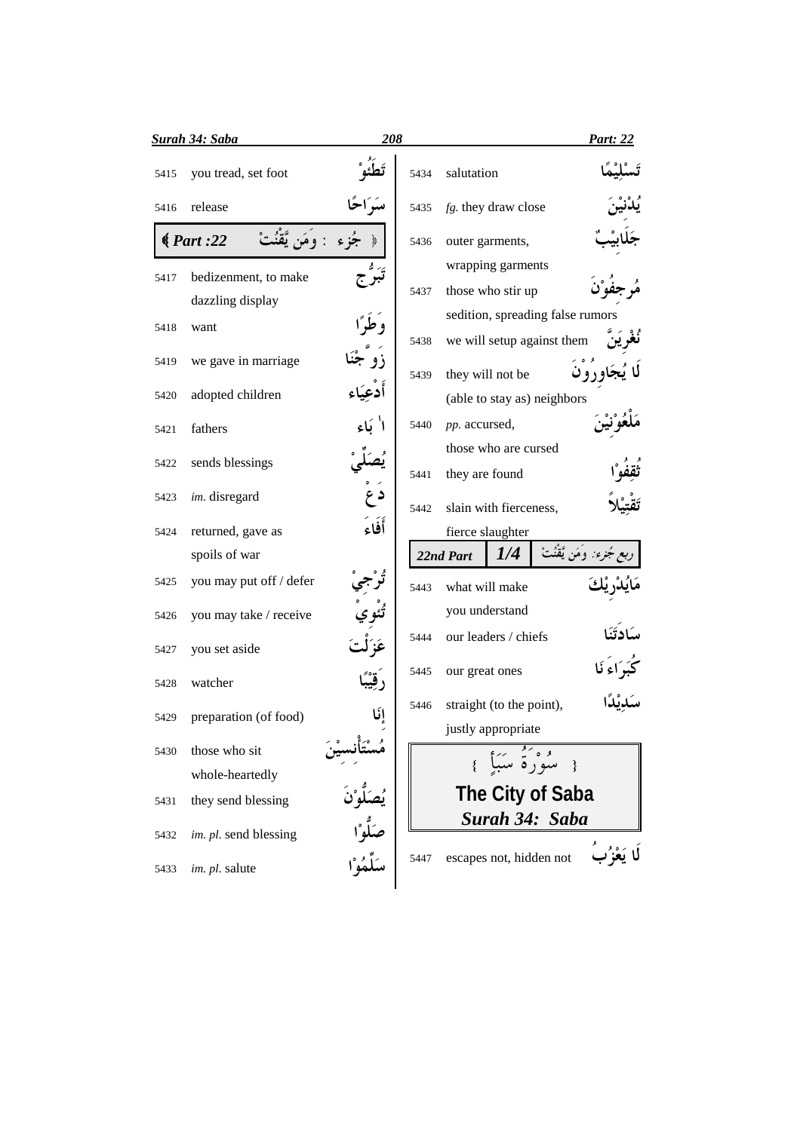|      | <u>Surah 34: Saba</u>              | 208     |      |                |                          |                                  | <b>Part: 22</b> |
|------|------------------------------------|---------|------|----------------|--------------------------|----------------------------------|-----------------|
| 5415 | you tread, set foot                |         | 5434 | salutation     |                          |                                  |                 |
| 5416 | release                            |         | 5435 |                | fg. they draw close      |                                  |                 |
|      | $\big\langle Part: 22 \big\rangle$ |         | 5436 |                | outer garments,          |                                  |                 |
| 5417 | bedizenment, to make               |         |      |                | wrapping garments        |                                  |                 |
|      | dazzling display                   |         | 5437 |                | those who stir up        |                                  |                 |
|      |                                    |         |      |                |                          | sedition, spreading false rumors |                 |
| 5418 | want                               |         | 5438 |                |                          | we will setup against them       |                 |
| 5419 | we gave in marriage                |         | 5439 |                | they will not be         |                                  |                 |
| 5420 | adopted children                   | أدعياء  |      |                |                          | (able to stay as) neighbors      |                 |
| 5421 | fathers                            |         | 5440 | pp. accursed,  |                          |                                  |                 |
|      |                                    |         |      |                | those who are cursed     |                                  |                 |
| 5422 | sends blessings                    |         | 5441 | they are found |                          |                                  |                 |
| 5423 | im. disregard                      | د ع     | 5442 |                | slain with fierceness,   |                                  |                 |
| 5424 | returned, gave as                  | أَفَاءَ |      |                | fierce slaughter         |                                  |                 |
|      | spoils of war                      |         |      | 22nd Part      | 1/4                      | ءِ: وَمَن يَّقْنُتْ              |                 |
| 5425 | you may put off / defer            |         | 5443 |                | what will make           |                                  |                 |
| 5426 | you may take / receive             |         |      |                | you understand           |                                  |                 |
| 5427 | you set aside                      |         | 5444 |                | our leaders / chiefs     |                                  |                 |
|      |                                    |         | 5445 | our great ones |                          |                                  |                 |
| 5428 | watcher                            |         | 5446 |                | straight (to the point), |                                  |                 |
| 5429 | preparation (of food)              | إنّا    |      |                |                          |                                  |                 |
| 5430 | those who sit                      |         |      |                | justly appropriate       |                                  |                 |
|      | whole-heartedly                    |         |      |                | و وَرُوْ سَبَأَ }        |                                  |                 |
| 5431 | they send blessing                 |         |      |                |                          | The City of Saba                 |                 |
| 5432 | im. pl. send blessing              |         |      |                |                          | Surah 34: Saba                   |                 |
| 5433 | im. pl. salute                     |         | 5447 |                | escapes not, hidden not  |                                  |                 |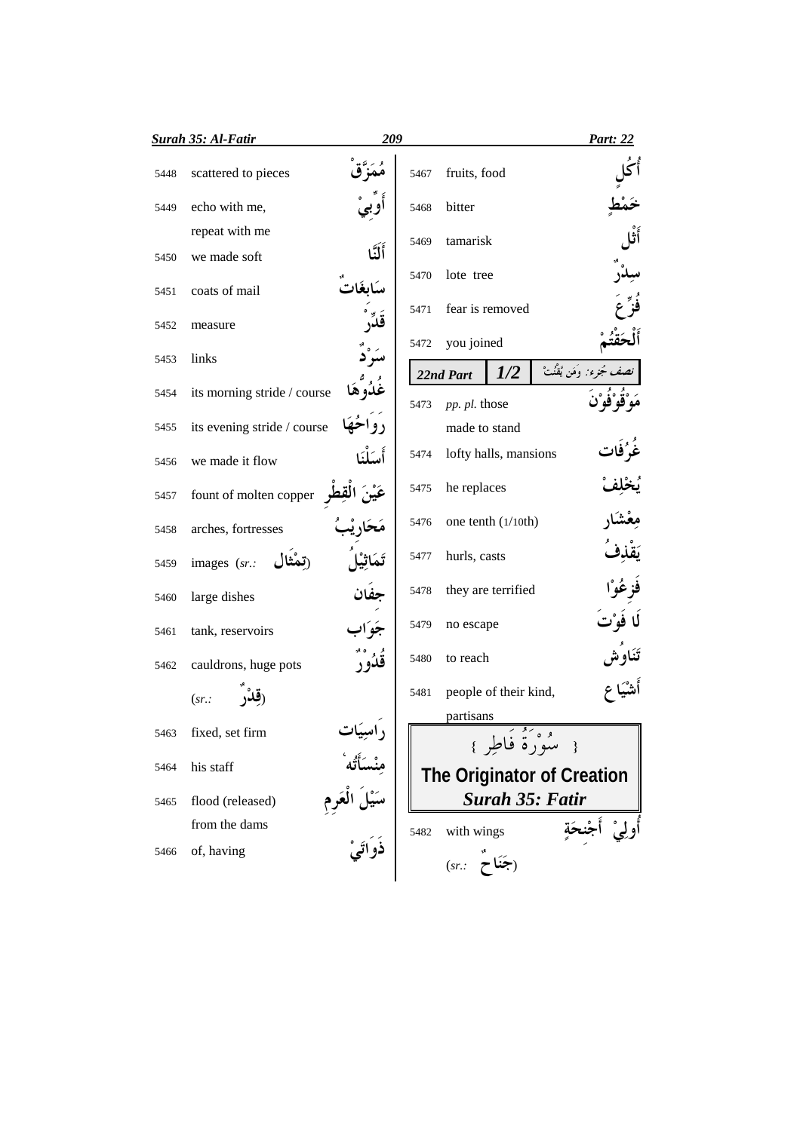|      | Surah 35: Al-Fatir          | 209      |      |               |                          |                            | Part: 22                   |
|------|-----------------------------|----------|------|---------------|--------------------------|----------------------------|----------------------------|
| 5448 | scattered to pieces         |          | 5467 | fruits, food  |                          |                            |                            |
| 5449 | echo with me,               |          | 5468 | bitter        |                          |                            |                            |
|      | repeat with me              |          |      | tamarisk      |                          |                            |                            |
| 5450 | we made soft                | أَلَنَّا | 5469 |               |                          |                            |                            |
| 5451 | coats of mail               |          | 5470 | lote tree     |                          |                            |                            |
| 5452 | measure                     |          | 5471 |               | fear is removed          |                            |                            |
| 5453 | links                       |          | 5472 | you joined    |                          |                            |                            |
|      |                             |          |      | 22nd Part     | 1/2                      |                            | نصف مُجزء: وَمَن يَْقُنُتْ |
| 5454 | its morning stride / course |          | 5473 | pp. pl. those |                          |                            |                            |
| 5455 | its evening stride / course |          |      | made to stand |                          |                            |                            |
| 5456 | we made it flow             | أسلْنَا  | 5474 |               | lofty halls, mansions    |                            |                            |
| 5457 | fount of molten copper      |          | 5475 | he replaces   |                          |                            |                            |
| 5458 | arches, fortresses          |          | 5476 |               | one tenth (1/10th)       |                            |                            |
| 5459 | images (sr.:                |          | 5477 | hurls, casts  |                          |                            |                            |
| 5460 | large dishes                | جفان     | 5478 |               | they are terrified       |                            |                            |
| 5461 | tank, reservoirs            | چه اد    | 5479 | no escape     |                          |                            | لا فوْت                    |
| 5462 | cauldrons, huge pots        | قدُور    | 5480 | to reach      |                          |                            | تَنَاو َش                  |
|      | (sr.                        |          | 5481 |               | people of their kind,    |                            |                            |
|      |                             |          |      | partisans     | $\overline{\mathcal{F}}$ |                            |                            |
|      | fixed, set firm             |          | IГ   |               |                          | { سُوْرُةً فَاطِرٍ }       |                            |
| 5464 | his staff                   |          |      |               |                          | The Originator of Creation |                            |
| 5465 | flood (released)            |          |      |               |                          | <b>Surah 35: Fatir</b>     |                            |
|      | from the dams               |          | 5482 | with wings    |                          |                            | أولِيْ أَج                 |
| 5466 | of, having                  |          |      | (sr.          | (جَنَاح                  |                            |                            |
|      |                             |          |      |               |                          |                            |                            |